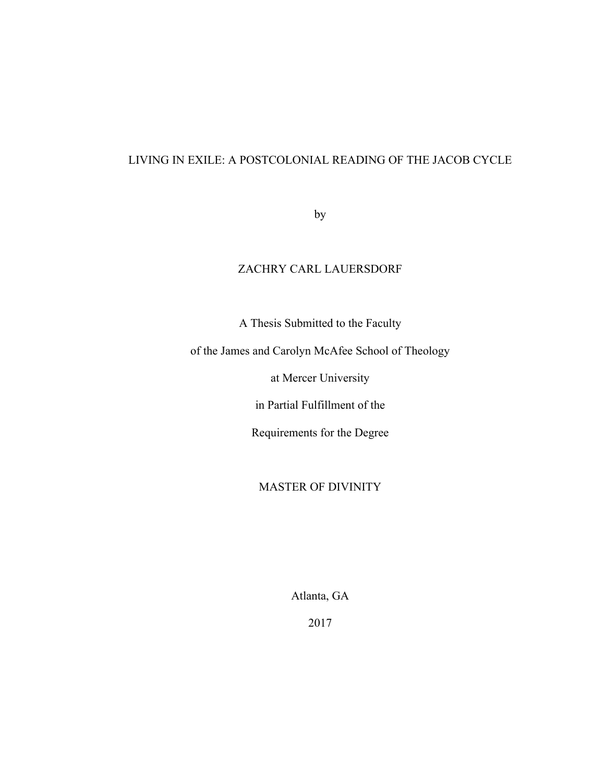## LIVING IN EXILE: A POSTCOLONIAL READING OF THE JACOB CYCLE

by

## ZACHRY CARL LAUERSDORF

A Thesis Submitted to the Faculty

of the James and Carolyn McAfee School of Theology

at Mercer University

in Partial Fulfillment of the

Requirements for the Degree

MASTER OF DIVINITY

Atlanta, GA

2017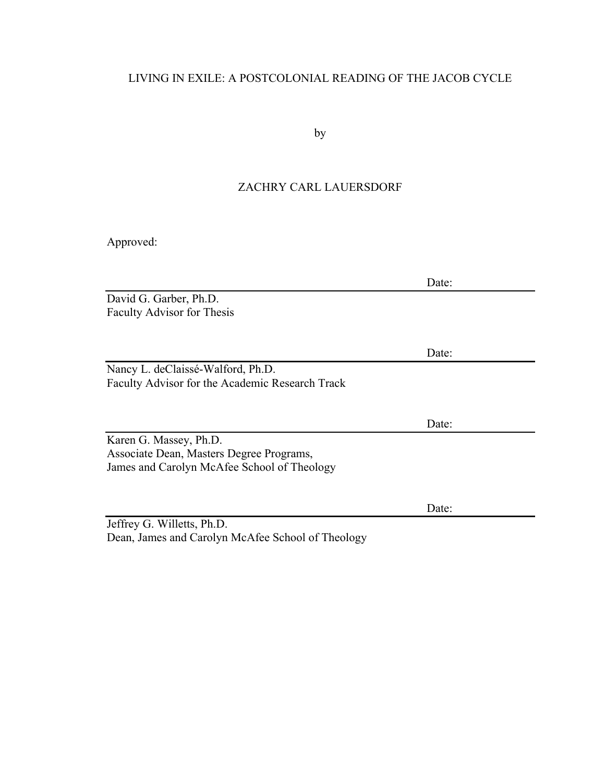# LIVING IN EXILE: A POSTCOLONIAL READING OF THE JACOB CYCLE

by

## ZACHRY CARL LAUERSDORF

Approved:

|                                                 | Date: |  |
|-------------------------------------------------|-------|--|
| David G. Garber, Ph.D.                          |       |  |
| <b>Faculty Advisor for Thesis</b>               |       |  |
|                                                 |       |  |
|                                                 |       |  |
|                                                 | Date: |  |
| Nancy L. deClaissé-Walford, Ph.D.               |       |  |
| Faculty Advisor for the Academic Research Track |       |  |
|                                                 |       |  |
|                                                 |       |  |
|                                                 | Date: |  |
| Karen G. Massey, Ph.D.                          |       |  |
| Associate Dean, Masters Degree Programs,        |       |  |
| James and Carolyn McAfee School of Theology     |       |  |
|                                                 |       |  |
|                                                 |       |  |
|                                                 | Date: |  |
| Jeffrey G. Willetts, Ph.D.                      |       |  |

Dean, James and Carolyn McAfee School of Theology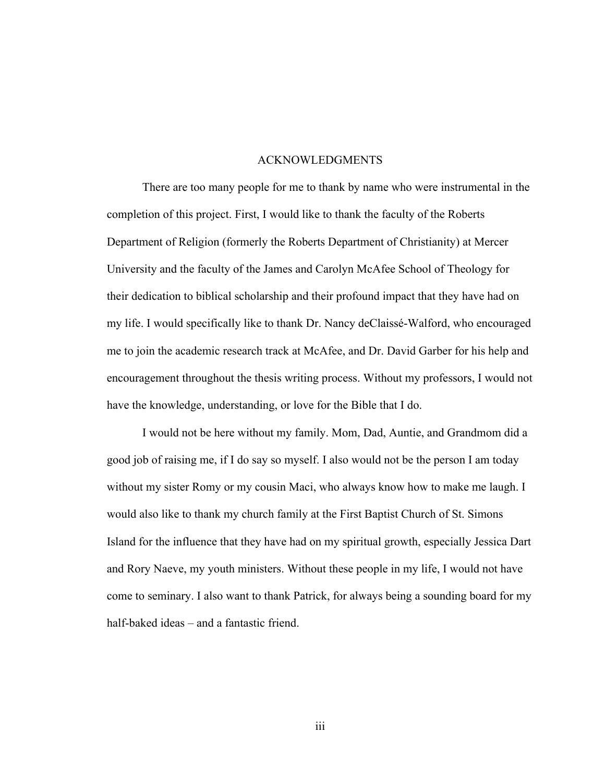#### ACKNOWLEDGMENTS

There are too many people for me to thank by name who were instrumental in the completion of this project. First, I would like to thank the faculty of the Roberts Department of Religion (formerly the Roberts Department of Christianity) at Mercer University and the faculty of the James and Carolyn McAfee School of Theology for their dedication to biblical scholarship and their profound impact that they have had on my life. I would specifically like to thank Dr. Nancy deClaissé-Walford, who encouraged me to join the academic research track at McAfee, and Dr. David Garber for his help and encouragement throughout the thesis writing process. Without my professors, I would not have the knowledge, understanding, or love for the Bible that I do.

I would not be here without my family. Mom, Dad, Auntie, and Grandmom did a good job of raising me, if I do say so myself. I also would not be the person I am today without my sister Romy or my cousin Maci, who always know how to make me laugh. I would also like to thank my church family at the First Baptist Church of St. Simons Island for the influence that they have had on my spiritual growth, especially Jessica Dart and Rory Naeve, my youth ministers. Without these people in my life, I would not have come to seminary. I also want to thank Patrick, for always being a sounding board for my half-baked ideas – and a fantastic friend.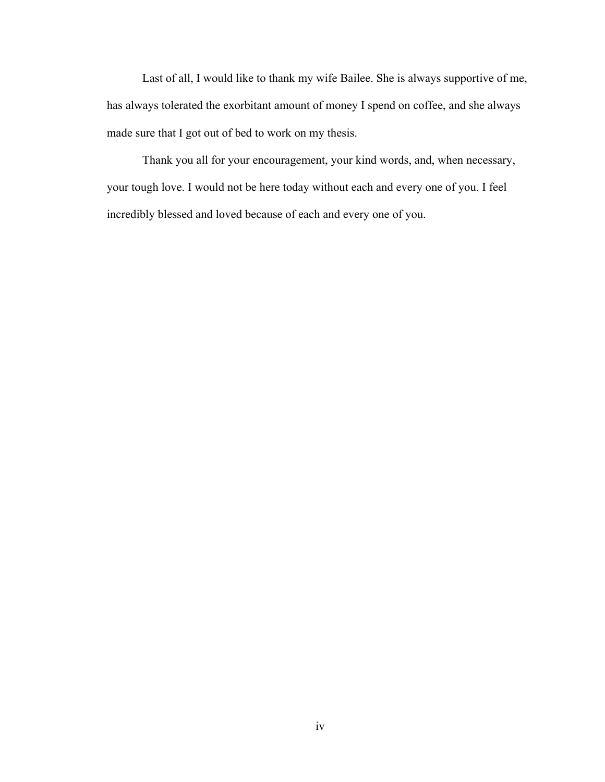Last of all, I would like to thank my wife Bailee. She is always supportive of me, has always tolerated the exorbitant amount of money I spend on coffee, and she always made sure that I got out of bed to work on my thesis.

Thank you all for your encouragement, your kind words, and, when necessary, your tough love. I would not be here today without each and every one of you. I feel incredibly blessed and loved because of each and every one of you.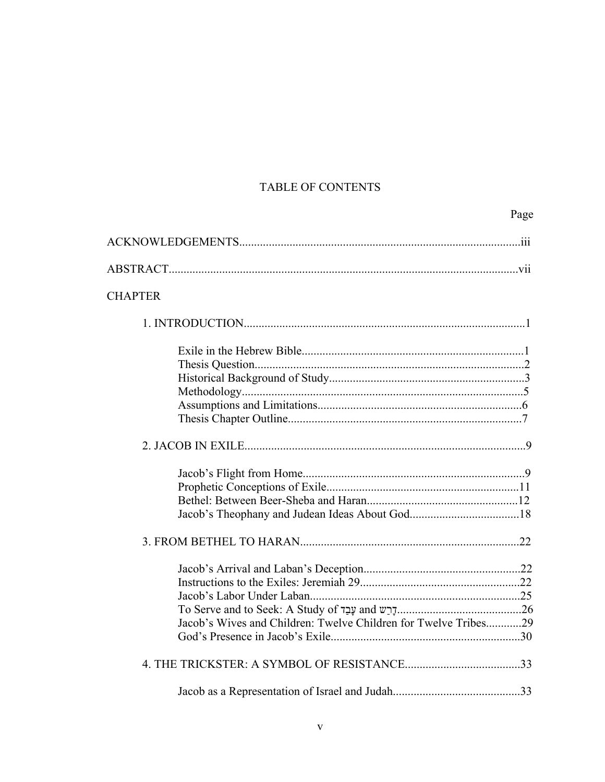# TABLE OF CONTENTS

| <b>CHAPTER</b>                                                  |  |
|-----------------------------------------------------------------|--|
|                                                                 |  |
|                                                                 |  |
|                                                                 |  |
|                                                                 |  |
|                                                                 |  |
|                                                                 |  |
|                                                                 |  |
|                                                                 |  |
|                                                                 |  |
|                                                                 |  |
|                                                                 |  |
|                                                                 |  |
|                                                                 |  |
|                                                                 |  |
|                                                                 |  |
|                                                                 |  |
| To Serve and to Seek: A Study of $\n  u$ and $\n  v$            |  |
| Jacob's Wives and Children: Twelve Children for Twelve Tribes29 |  |
|                                                                 |  |
|                                                                 |  |
|                                                                 |  |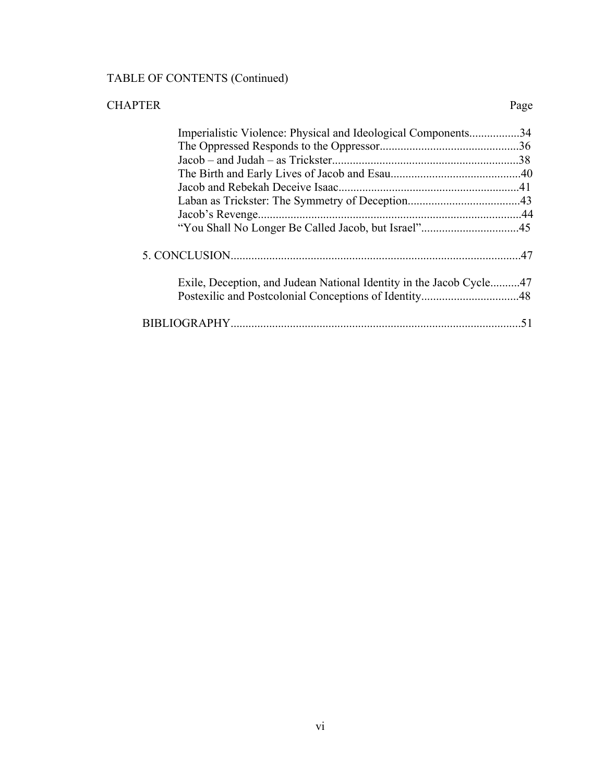# TABLE OF CONTENTS (Continued)

| <b>CHAPTER</b> |                                                                     | Page |
|----------------|---------------------------------------------------------------------|------|
|                | Imperialistic Violence: Physical and Ideological Components34       |      |
|                |                                                                     |      |
|                |                                                                     |      |
|                |                                                                     |      |
|                |                                                                     |      |
|                |                                                                     |      |
|                |                                                                     |      |
|                |                                                                     |      |
|                |                                                                     |      |
|                | Exile, Deception, and Judean National Identity in the Jacob Cycle47 |      |
|                |                                                                     |      |
|                |                                                                     |      |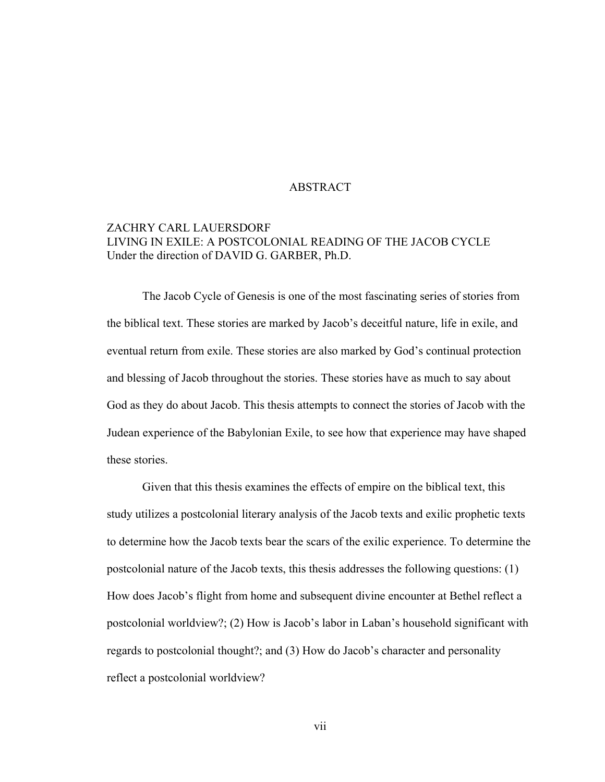#### ABSTRACT

## ZACHRY CARL LAUERSDORF LIVING IN EXILE: A POSTCOLONIAL READING OF THE JACOB CYCLE Under the direction of DAVID G. GARBER, Ph.D.

The Jacob Cycle of Genesis is one of the most fascinating series of stories from the biblical text. These stories are marked by Jacob's deceitful nature, life in exile, and eventual return from exile. These stories are also marked by God's continual protection and blessing of Jacob throughout the stories. These stories have as much to say about God as they do about Jacob. This thesis attempts to connect the stories of Jacob with the Judean experience of the Babylonian Exile, to see how that experience may have shaped these stories.

Given that this thesis examines the effects of empire on the biblical text, this study utilizes a postcolonial literary analysis of the Jacob texts and exilic prophetic texts to determine how the Jacob texts bear the scars of the exilic experience. To determine the postcolonial nature of the Jacob texts, this thesis addresses the following questions: (1) How does Jacob's flight from home and subsequent divine encounter at Bethel reflect a postcolonial worldview?; (2) How is Jacob's labor in Laban's household significant with regards to postcolonial thought?; and (3) How do Jacob's character and personality reflect a postcolonial worldview?

vii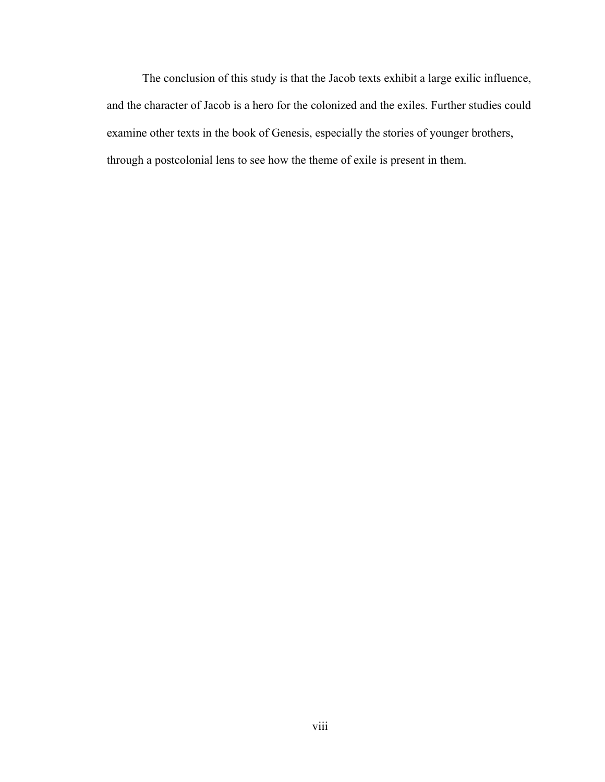The conclusion of this study is that the Jacob texts exhibit a large exilic influence, and the character of Jacob is a hero for the colonized and the exiles. Further studies could examine other texts in the book of Genesis, especially the stories of younger brothers, through a postcolonial lens to see how the theme of exile is present in them.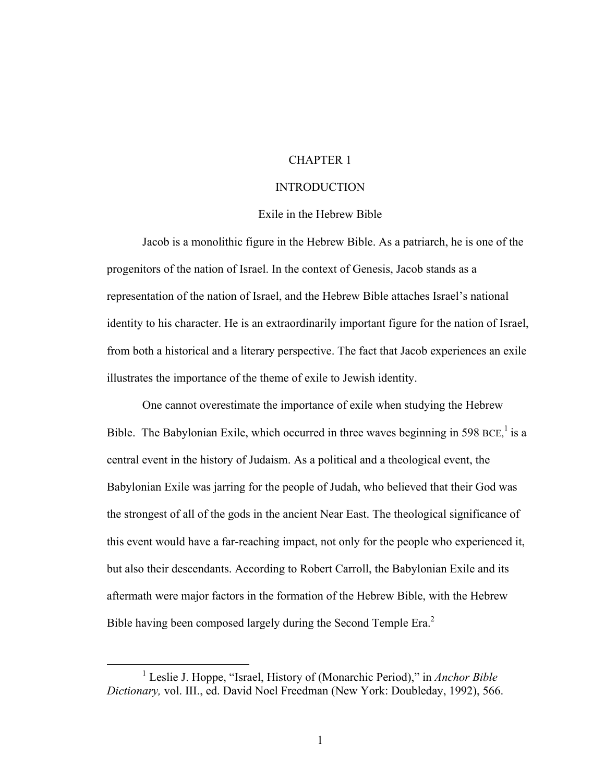#### CHAPTER 1

#### INTRODUCTION

#### Exile in the Hebrew Bible

Jacob is a monolithic figure in the Hebrew Bible. As a patriarch, he is one of the progenitors of the nation of Israel. In the context of Genesis, Jacob stands as a representation of the nation of Israel, and the Hebrew Bible attaches Israel's national identity to his character. He is an extraordinarily important figure for the nation of Israel, from both a historical and a literary perspective. The fact that Jacob experiences an exile illustrates the importance of the theme of exile to Jewish identity.

One cannot overestimate the importance of exile when studying the Hebrew Bible. The Babylonian Exile, which occurred in three waves beginning in 598 BCE,<sup>1</sup> is a central event in the history of Judaism. As a political and a theological event, the Babylonian Exile was jarring for the people of Judah, who believed that their God was the strongest of all of the gods in the ancient Near East. The theological significance of this event would have a far-reaching impact, not only for the people who experienced it, but also their descendants. According to Robert Carroll, the Babylonian Exile and its aftermath were major factors in the formation of the Hebrew Bible, with the Hebrew Bible having been composed largely during the Second Temple Era.<sup>2</sup>

<sup>&</sup>lt;u>1</u> Leslie J. Hoppe, "Israel, History of (Monarchic Period)," in *Anchor Bible Dictionary,* vol. III., ed. David Noel Freedman (New York: Doubleday, 1992), 566.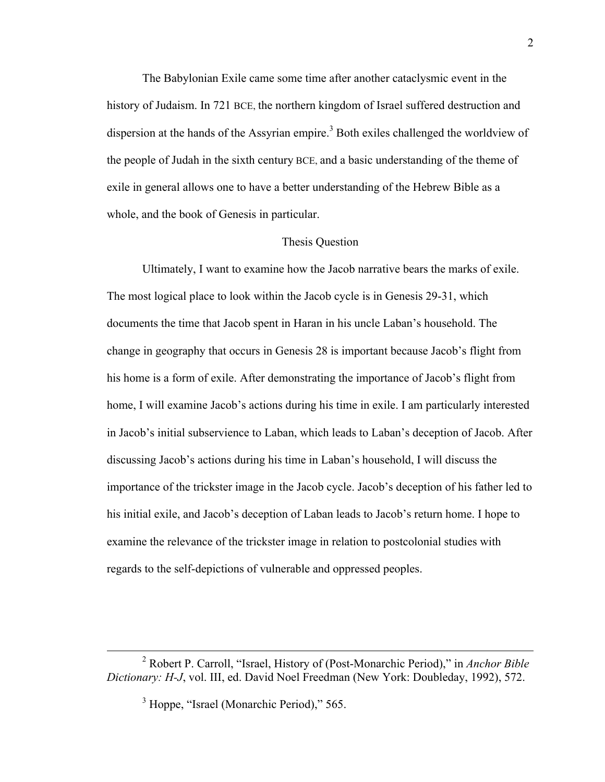The Babylonian Exile came some time after another cataclysmic event in the history of Judaism. In 721 BCE, the northern kingdom of Israel suffered destruction and dispersion at the hands of the Assyrian empire.<sup>3</sup> Both exiles challenged the worldview of the people of Judah in the sixth century BCE, and a basic understanding of the theme of exile in general allows one to have a better understanding of the Hebrew Bible as a whole, and the book of Genesis in particular.

#### Thesis Question

Ultimately, I want to examine how the Jacob narrative bears the marks of exile. The most logical place to look within the Jacob cycle is in Genesis 29-31, which documents the time that Jacob spent in Haran in his uncle Laban's household. The change in geography that occurs in Genesis 28 is important because Jacob's flight from his home is a form of exile. After demonstrating the importance of Jacob's flight from home, I will examine Jacob's actions during his time in exile. I am particularly interested in Jacob's initial subservience to Laban, which leads to Laban's deception of Jacob. After discussing Jacob's actions during his time in Laban's household, I will discuss the importance of the trickster image in the Jacob cycle. Jacob's deception of his father led to his initial exile, and Jacob's deception of Laban leads to Jacob's return home. I hope to examine the relevance of the trickster image in relation to postcolonial studies with regards to the self-depictions of vulnerable and oppressed peoples.

 <sup>2</sup> Robert P. Carroll, "Israel, History of (Post-Monarchic Period)," in *Anchor Bible Dictionary: H-J*, vol. III, ed. David Noel Freedman (New York: Doubleday, 1992), 572.

<sup>&</sup>lt;sup>3</sup> Hoppe, "Israel (Monarchic Period)," 565.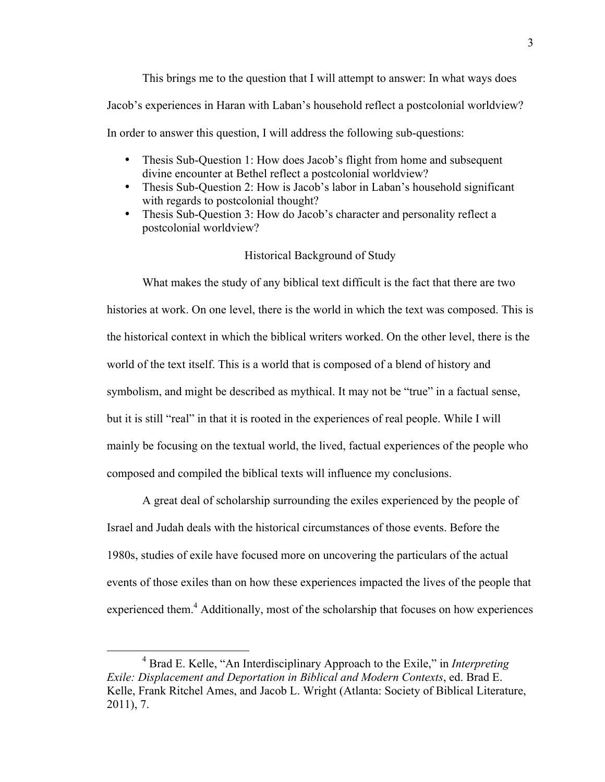This brings me to the question that I will attempt to answer: In what ways does Jacob's experiences in Haran with Laban's household reflect a postcolonial worldview? In order to answer this question, I will address the following sub-questions:

- Thesis Sub-Ouestion 1: How does Jacob's flight from home and subsequent divine encounter at Bethel reflect a postcolonial worldview?
- Thesis Sub-Question 2: How is Jacob's labor in Laban's household significant with regards to postcolonial thought?
- Thesis Sub-Question 3: How do Jacob's character and personality reflect a postcolonial worldview?

#### Historical Background of Study

What makes the study of any biblical text difficult is the fact that there are two histories at work. On one level, there is the world in which the text was composed. This is the historical context in which the biblical writers worked. On the other level, there is the world of the text itself. This is a world that is composed of a blend of history and symbolism, and might be described as mythical. It may not be "true" in a factual sense, but it is still "real" in that it is rooted in the experiences of real people. While I will mainly be focusing on the textual world, the lived, factual experiences of the people who composed and compiled the biblical texts will influence my conclusions.

A great deal of scholarship surrounding the exiles experienced by the people of Israel and Judah deals with the historical circumstances of those events. Before the 1980s, studies of exile have focused more on uncovering the particulars of the actual events of those exiles than on how these experiences impacted the lives of the people that experienced them.<sup>4</sup> Additionally, most of the scholarship that focuses on how experiences

 $\overline{4}$  Brad E. Kelle, "An Interdisciplinary Approach to the Exile," in *Interpreting Exile: Displacement and Deportation in Biblical and Modern Contexts*, ed. Brad E. Kelle, Frank Ritchel Ames, and Jacob L. Wright (Atlanta: Society of Biblical Literature, 2011), 7.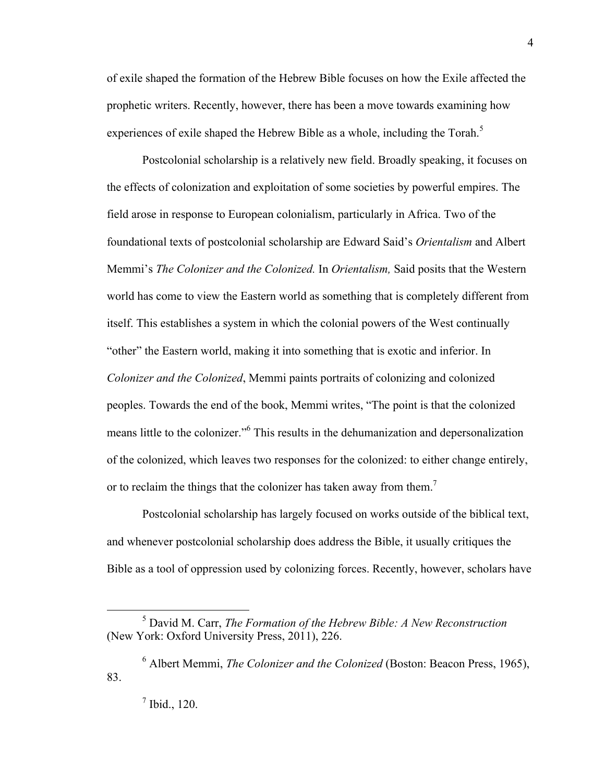of exile shaped the formation of the Hebrew Bible focuses on how the Exile affected the prophetic writers. Recently, however, there has been a move towards examining how experiences of exile shaped the Hebrew Bible as a whole, including the Torah.<sup>5</sup>

Postcolonial scholarship is a relatively new field. Broadly speaking, it focuses on the effects of colonization and exploitation of some societies by powerful empires. The field arose in response to European colonialism, particularly in Africa. Two of the foundational texts of postcolonial scholarship are Edward Said's *Orientalism* and Albert Memmi's *The Colonizer and the Colonized.* In *Orientalism,* Said posits that the Western world has come to view the Eastern world as something that is completely different from itself. This establishes a system in which the colonial powers of the West continually "other" the Eastern world, making it into something that is exotic and inferior. In *Colonizer and the Colonized*, Memmi paints portraits of colonizing and colonized peoples. Towards the end of the book, Memmi writes, "The point is that the colonized means little to the colonizer."<sup>6</sup> This results in the dehumanization and depersonalization of the colonized, which leaves two responses for the colonized: to either change entirely, or to reclaim the things that the colonizer has taken away from them.<sup>7</sup>

Postcolonial scholarship has largely focused on works outside of the biblical text, and whenever postcolonial scholarship does address the Bible, it usually critiques the Bible as a tool of oppression used by colonizing forces. Recently, however, scholars have

 $rac{1}{5}$  David M. Carr, *The Formation of the Hebrew Bible: A New Reconstruction* (New York: Oxford University Press, 2011), 226.

<sup>6</sup> Albert Memmi, *The Colonizer and the Colonized* (Boston: Beacon Press, 1965), 83.

<sup>7</sup> Ibid., 120.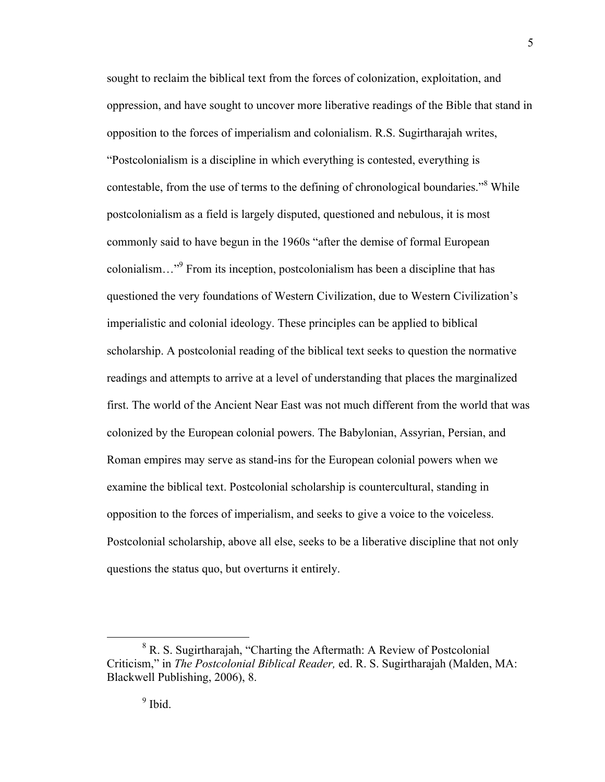sought to reclaim the biblical text from the forces of colonization, exploitation, and oppression, and have sought to uncover more liberative readings of the Bible that stand in opposition to the forces of imperialism and colonialism. R.S. Sugirtharajah writes, "Postcolonialism is a discipline in which everything is contested, everything is contestable, from the use of terms to the defining of chronological boundaries."<sup>8</sup> While postcolonialism as a field is largely disputed, questioned and nebulous, it is most commonly said to have begun in the 1960s "after the demise of formal European colonialism…"9 From its inception, postcolonialism has been a discipline that has questioned the very foundations of Western Civilization, due to Western Civilization's imperialistic and colonial ideology. These principles can be applied to biblical scholarship. A postcolonial reading of the biblical text seeks to question the normative readings and attempts to arrive at a level of understanding that places the marginalized first. The world of the Ancient Near East was not much different from the world that was colonized by the European colonial powers. The Babylonian, Assyrian, Persian, and Roman empires may serve as stand-ins for the European colonial powers when we examine the biblical text. Postcolonial scholarship is countercultural, standing in opposition to the forces of imperialism, and seeks to give a voice to the voiceless. Postcolonial scholarship, above all else, seeks to be a liberative discipline that not only questions the status quo, but overturns it entirely.

 <sup>8</sup>  $R$ , S. Sugirtharajah, "Charting the Aftermath: A Review of Postcolonial Criticism," in *The Postcolonial Biblical Reader,* ed. R. S. Sugirtharajah (Malden, MA: Blackwell Publishing, 2006), 8.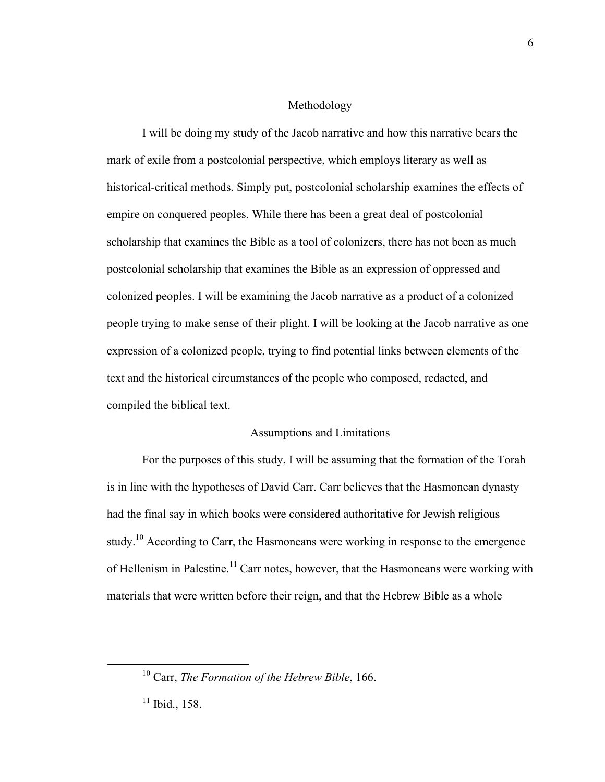#### Methodology

I will be doing my study of the Jacob narrative and how this narrative bears the mark of exile from a postcolonial perspective, which employs literary as well as historical-critical methods. Simply put, postcolonial scholarship examines the effects of empire on conquered peoples. While there has been a great deal of postcolonial scholarship that examines the Bible as a tool of colonizers, there has not been as much postcolonial scholarship that examines the Bible as an expression of oppressed and colonized peoples. I will be examining the Jacob narrative as a product of a colonized people trying to make sense of their plight. I will be looking at the Jacob narrative as one expression of a colonized people, trying to find potential links between elements of the text and the historical circumstances of the people who composed, redacted, and compiled the biblical text.

#### Assumptions and Limitations

For the purposes of this study, I will be assuming that the formation of the Torah is in line with the hypotheses of David Carr. Carr believes that the Hasmonean dynasty had the final say in which books were considered authoritative for Jewish religious study.<sup>10</sup> According to Carr, the Hasmoneans were working in response to the emergence of Hellenism in Palestine.<sup>11</sup> Carr notes, however, that the Hasmoneans were working with materials that were written before their reign, and that the Hebrew Bible as a whole

 <sup>10</sup> Carr, *The Formation of the Hebrew Bible*, 166.

 $11$  Ibid., 158.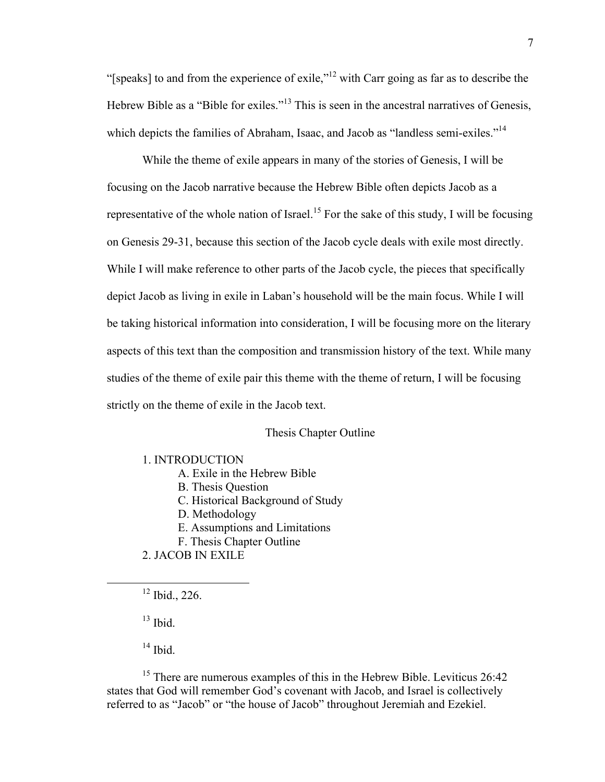"[speaks] to and from the experience of exile,"<sup>12</sup> with Carr going as far as to describe the Hebrew Bible as a "Bible for exiles."<sup>13</sup> This is seen in the ancestral narratives of Genesis, which depicts the families of Abraham, Isaac, and Jacob as "landless semi-exiles."<sup>14</sup>

While the theme of exile appears in many of the stories of Genesis, I will be focusing on the Jacob narrative because the Hebrew Bible often depicts Jacob as a representative of the whole nation of Israel.<sup>15</sup> For the sake of this study, I will be focusing on Genesis 29-31, because this section of the Jacob cycle deals with exile most directly. While I will make reference to other parts of the Jacob cycle, the pieces that specifically depict Jacob as living in exile in Laban's household will be the main focus. While I will be taking historical information into consideration, I will be focusing more on the literary aspects of this text than the composition and transmission history of the text. While many studies of the theme of exile pair this theme with the theme of return, I will be focusing strictly on the theme of exile in the Jacob text.

#### Thesis Chapter Outline

1. INTRODUCTION

- A. Exile in the Hebrew Bible
- B. Thesis Question
- C. Historical Background of Study
- D. Methodology
- E. Assumptions and Limitations
- F. Thesis Chapter Outline
- 2. JACOB IN EXILE
- $12$  Ibid., 226.

 $13$  Ibid.

 $14$  Ibid.

<sup>15</sup> There are numerous examples of this in the Hebrew Bible. Leviticus 26:42 states that God will remember God's covenant with Jacob, and Israel is collectively referred to as "Jacob" or "the house of Jacob" throughout Jeremiah and Ezekiel.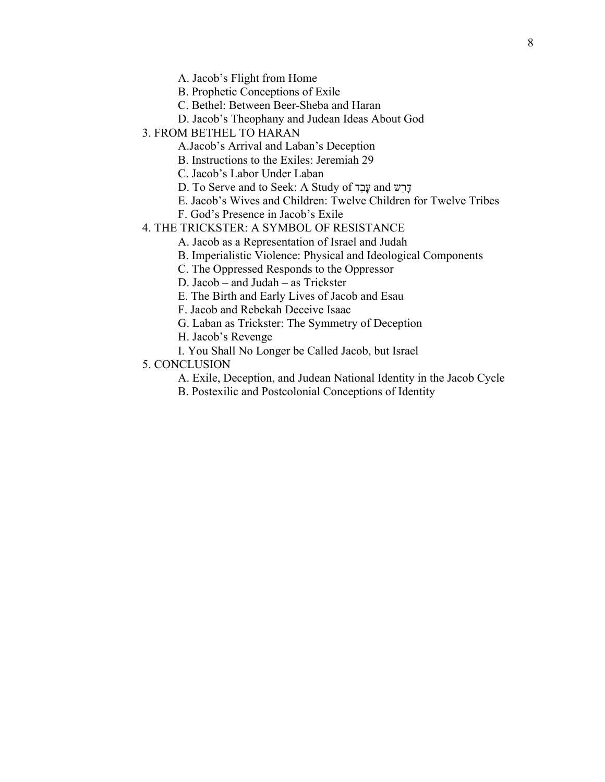A. Jacob's Flight from Home

B. Prophetic Conceptions of Exile

- C. Bethel: Between Beer-Sheba and Haran
- D. Jacob's Theophany and Judean Ideas About God
- 3. FROM BETHEL TO HARAN
	- A.Jacob's Arrival and Laban's Deception
	- B. Instructions to the Exiles: Jeremiah 29
	- C. Jacob's Labor Under Laban
	- D. To Serve and to Seek: A Study of דַבָע and שַרָד
	- E. Jacob's Wives and Children: Twelve Children for Twelve Tribes
	- F. God's Presence in Jacob's Exile
- 4. THE TRICKSTER: A SYMBOL OF RESISTANCE
	- A. Jacob as a Representation of Israel and Judah
	- B. Imperialistic Violence: Physical and Ideological Components
	- C. The Oppressed Responds to the Oppressor
	- D. Jacob and Judah as Trickster
	- E. The Birth and Early Lives of Jacob and Esau
	- F. Jacob and Rebekah Deceive Isaac
	- G. Laban as Trickster: The Symmetry of Deception
	- H. Jacob's Revenge
	- I. You Shall No Longer be Called Jacob, but Israel
- 5. CONCLUSION
	- A. Exile, Deception, and Judean National Identity in the Jacob Cycle
	- B. Postexilic and Postcolonial Conceptions of Identity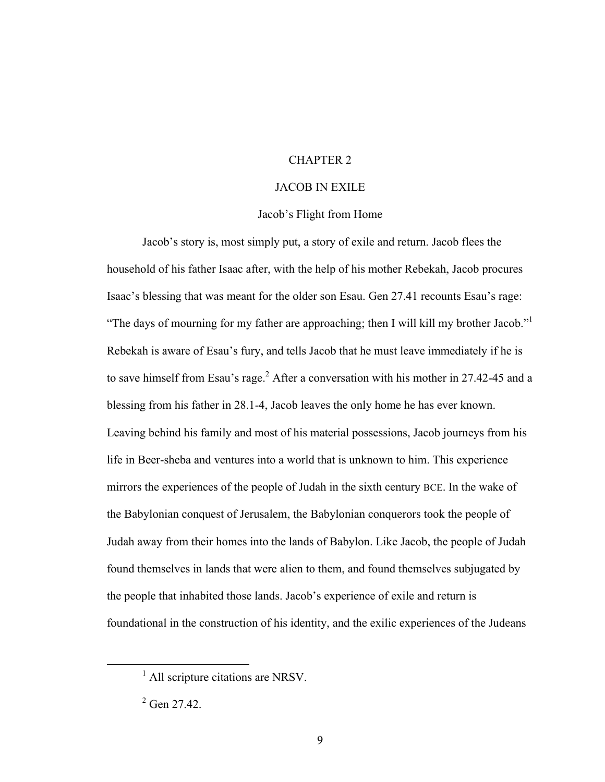#### CHAPTER 2

#### JACOB IN EXILE

#### Jacob's Flight from Home

Jacob's story is, most simply put, a story of exile and return. Jacob flees the household of his father Isaac after, with the help of his mother Rebekah, Jacob procures Isaac's blessing that was meant for the older son Esau. Gen 27.41 recounts Esau's rage: "The days of mourning for my father are approaching; then I will kill my brother Jacob."<sup>1</sup> Rebekah is aware of Esau's fury, and tells Jacob that he must leave immediately if he is to save himself from Esau's rage.<sup>2</sup> After a conversation with his mother in 27.42-45 and a blessing from his father in 28.1-4, Jacob leaves the only home he has ever known. Leaving behind his family and most of his material possessions, Jacob journeys from his life in Beer-sheba and ventures into a world that is unknown to him. This experience mirrors the experiences of the people of Judah in the sixth century BCE. In the wake of the Babylonian conquest of Jerusalem, the Babylonian conquerors took the people of Judah away from their homes into the lands of Babylon. Like Jacob, the people of Judah found themselves in lands that were alien to them, and found themselves subjugated by the people that inhabited those lands. Jacob's experience of exile and return is foundational in the construction of his identity, and the exilic experiences of the Judeans

<sup>&</sup>lt;u>1</u> <sup>1</sup> All scripture citations are NRSV.

 $2^2$  Gen 27.42.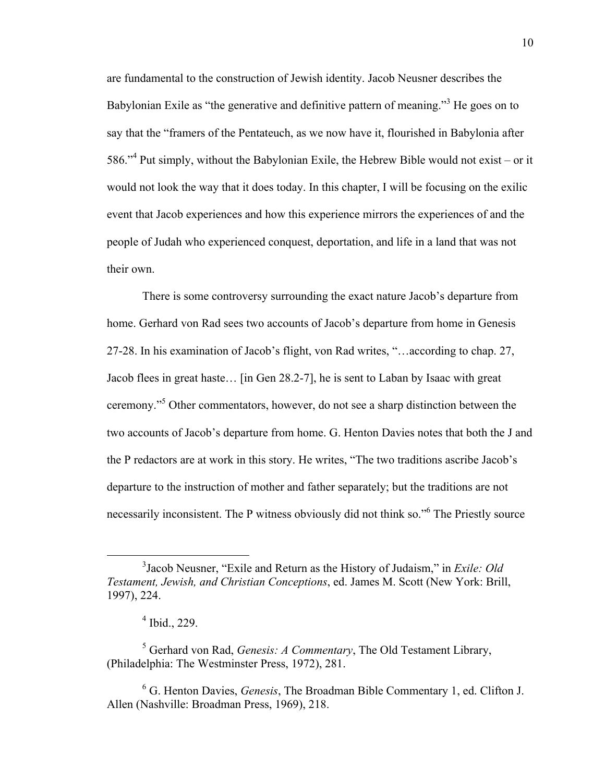are fundamental to the construction of Jewish identity. Jacob Neusner describes the Babylonian Exile as "the generative and definitive pattern of meaning."<sup>3</sup> He goes on to say that the "framers of the Pentateuch, as we now have it, flourished in Babylonia after 586."<sup>4</sup> Put simply, without the Babylonian Exile, the Hebrew Bible would not exist – or it would not look the way that it does today. In this chapter, I will be focusing on the exilic event that Jacob experiences and how this experience mirrors the experiences of and the people of Judah who experienced conquest, deportation, and life in a land that was not their own.

There is some controversy surrounding the exact nature Jacob's departure from home. Gerhard von Rad sees two accounts of Jacob's departure from home in Genesis 27-28. In his examination of Jacob's flight, von Rad writes, "…according to chap. 27, Jacob flees in great haste… [in Gen 28.2-7], he is sent to Laban by Isaac with great ceremony." 5 Other commentators, however, do not see a sharp distinction between the two accounts of Jacob's departure from home. G. Henton Davies notes that both the J and the P redactors are at work in this story. He writes, "The two traditions ascribe Jacob's departure to the instruction of mother and father separately; but the traditions are not necessarily inconsistent. The P witness obviously did not think so." The Priestly source

 $\frac{1}{3}$ Jacob Neusner, "Exile and Return as the History of Judaism," in *Exile: Old Testament, Jewish, and Christian Conceptions*, ed. James M. Scott (New York: Brill, 1997), 224.

<sup>4</sup> Ibid., 229.

<sup>5</sup> Gerhard von Rad, *Genesis: A Commentary*, The Old Testament Library, (Philadelphia: The Westminster Press, 1972), 281.

<sup>6</sup> G. Henton Davies, *Genesis*, The Broadman Bible Commentary 1, ed. Clifton J. Allen (Nashville: Broadman Press, 1969), 218.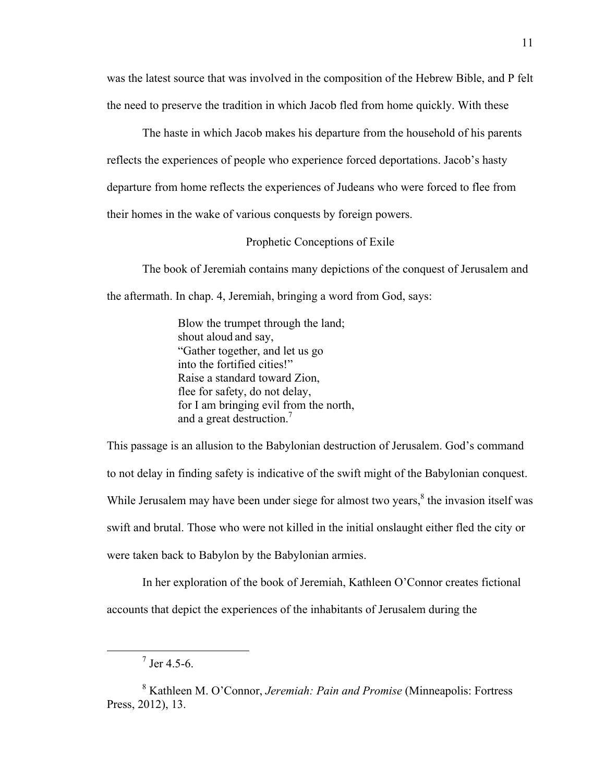was the latest source that was involved in the composition of the Hebrew Bible, and P felt the need to preserve the tradition in which Jacob fled from home quickly. With these

The haste in which Jacob makes his departure from the household of his parents reflects the experiences of people who experience forced deportations. Jacob's hasty departure from home reflects the experiences of Judeans who were forced to flee from their homes in the wake of various conquests by foreign powers.

#### Prophetic Conceptions of Exile

The book of Jeremiah contains many depictions of the conquest of Jerusalem and the aftermath. In chap. 4, Jeremiah, bringing a word from God, says:

> Blow the trumpet through the land; shout aloud and say, "Gather together, and let us go into the fortified cities!" Raise a standard toward Zion, flee for safety, do not delay, for I am bringing evil from the north, and a great destruction. 7

This passage is an allusion to the Babylonian destruction of Jerusalem. God's command to not delay in finding safety is indicative of the swift might of the Babylonian conquest. While Jerusalem may have been under siege for almost two years,<sup>8</sup> the invasion itself was swift and brutal. Those who were not killed in the initial onslaught either fled the city or were taken back to Babylon by the Babylonian armies.

In her exploration of the book of Jeremiah, Kathleen O'Connor creates fictional accounts that depict the experiences of the inhabitants of Jerusalem during the

 <sup>7</sup>  $^7$  Jer 4.5-6.

<sup>8</sup> Kathleen M. O'Connor, *Jeremiah: Pain and Promise* (Minneapolis: Fortress Press, 2012), 13.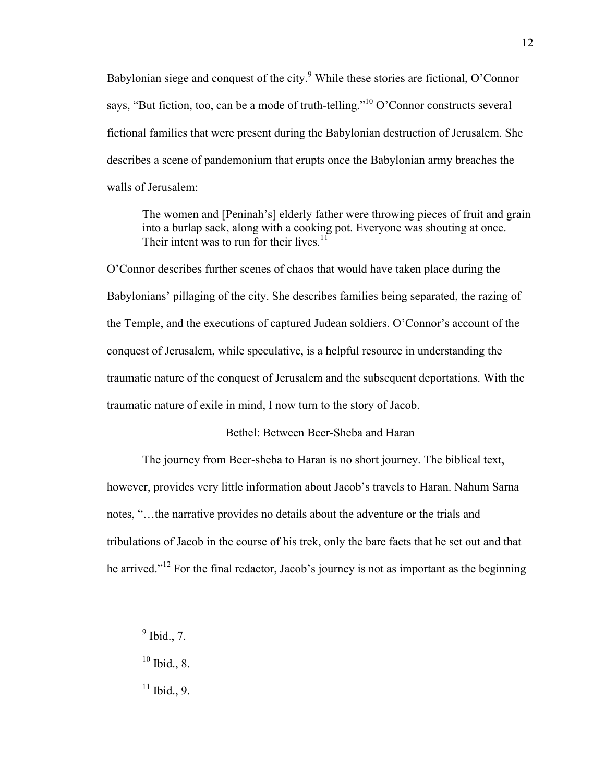Babylonian siege and conquest of the city.<sup>9</sup> While these stories are fictional, O'Connor says, "But fiction, too, can be a mode of truth-telling."<sup>10</sup> O'Connor constructs several fictional families that were present during the Babylonian destruction of Jerusalem. She describes a scene of pandemonium that erupts once the Babylonian army breaches the walls of Jerusalem:

The women and [Peninah's] elderly father were throwing pieces of fruit and grain into a burlap sack, along with a cooking pot. Everyone was shouting at once. Their intent was to run for their lives.<sup>11</sup>

O'Connor describes further scenes of chaos that would have taken place during the Babylonians' pillaging of the city. She describes families being separated, the razing of the Temple, and the executions of captured Judean soldiers. O'Connor's account of the conquest of Jerusalem, while speculative, is a helpful resource in understanding the traumatic nature of the conquest of Jerusalem and the subsequent deportations. With the traumatic nature of exile in mind, I now turn to the story of Jacob.

#### Bethel: Between Beer-Sheba and Haran

The journey from Beer-sheba to Haran is no short journey. The biblical text, however, provides very little information about Jacob's travels to Haran. Nahum Sarna notes, "…the narrative provides no details about the adventure or the trials and tribulations of Jacob in the course of his trek, only the bare facts that he set out and that he arrived."<sup>12</sup> For the final redactor, Jacob's journey is not as important as the beginning

 $11$  Ibid., 9.

 $\frac{1}{9}$  $<sup>9</sup>$  Ibid., 7.</sup>

 $10$  Ibid., 8.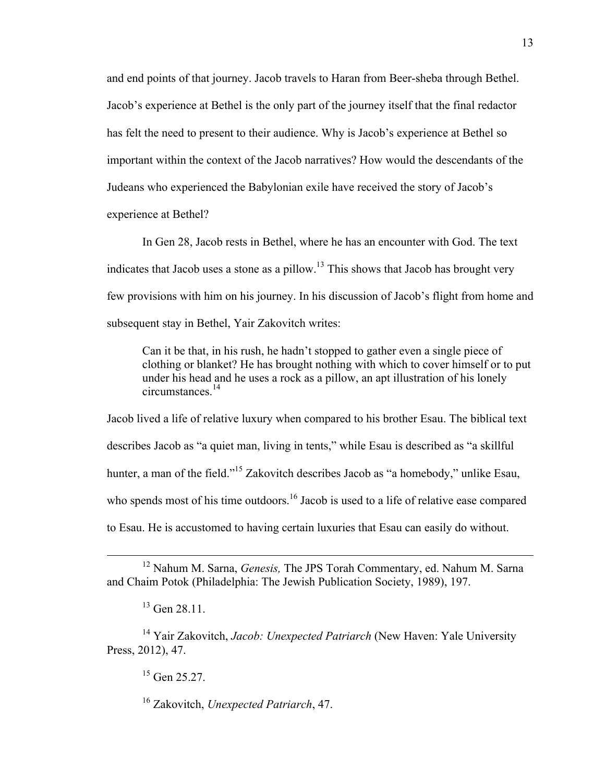and end points of that journey. Jacob travels to Haran from Beer-sheba through Bethel. Jacob's experience at Bethel is the only part of the journey itself that the final redactor has felt the need to present to their audience. Why is Jacob's experience at Bethel so important within the context of the Jacob narratives? How would the descendants of the Judeans who experienced the Babylonian exile have received the story of Jacob's experience at Bethel?

In Gen 28, Jacob rests in Bethel, where he has an encounter with God. The text indicates that Jacob uses a stone as a pillow.<sup>13</sup> This shows that Jacob has brought very few provisions with him on his journey. In his discussion of Jacob's flight from home and subsequent stay in Bethel, Yair Zakovitch writes:

Can it be that, in his rush, he hadn't stopped to gather even a single piece of clothing or blanket? He has brought nothing with which to cover himself or to put under his head and he uses a rock as a pillow, an apt illustration of his lonely circumstances. 14

Jacob lived a life of relative luxury when compared to his brother Esau. The biblical text describes Jacob as "a quiet man, living in tents," while Esau is described as "a skillful hunter, a man of the field."<sup>15</sup> Zakovitch describes Jacob as "a homebody," unlike Esau, who spends most of his time outdoors.<sup>16</sup> Jacob is used to a life of relative ease compared to Esau. He is accustomed to having certain luxuries that Esau can easily do without.

14 Yair Zakovitch, *Jacob: Unexpected Patriarch* (New Haven: Yale University Press, 2012), 47.

 $15$  Gen 25.27.

16 Zakovitch, *Unexpected Patriarch*, 47.

 <sup>12</sup> Nahum M. Sarna, *Genesis,* The JPS Torah Commentary, ed. Nahum M. Sarna and Chaim Potok (Philadelphia: The Jewish Publication Society, 1989), 197.

<sup>&</sup>lt;sup>13</sup> Gen 28.11.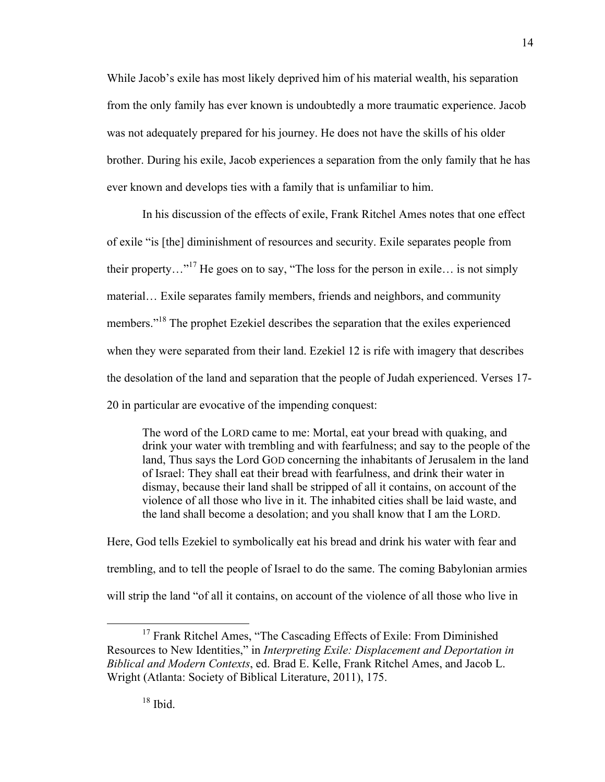While Jacob's exile has most likely deprived him of his material wealth, his separation from the only family has ever known is undoubtedly a more traumatic experience. Jacob was not adequately prepared for his journey. He does not have the skills of his older brother. During his exile, Jacob experiences a separation from the only family that he has ever known and develops ties with a family that is unfamiliar to him.

In his discussion of the effects of exile, Frank Ritchel Ames notes that one effect of exile "is [the] diminishment of resources and security. Exile separates people from their property..."<sup>17</sup> He goes on to say, "The loss for the person in exile... is not simply material… Exile separates family members, friends and neighbors, and community members."<sup>18</sup> The prophet Ezekiel describes the separation that the exiles experienced when they were separated from their land. Ezekiel 12 is rife with imagery that describes the desolation of the land and separation that the people of Judah experienced. Verses 17- 20 in particular are evocative of the impending conquest:

The word of the LORD came to me: Mortal, eat your bread with quaking, and drink your water with trembling and with fearfulness; and say to the people of the land, Thus says the Lord GOD concerning the inhabitants of Jerusalem in the land of Israel: They shall eat their bread with fearfulness, and drink their water in dismay, because their land shall be stripped of all it contains, on account of the violence of all those who live in it. The inhabited cities shall be laid waste, and the land shall become a desolation; and you shall know that I am the LORD.

Here, God tells Ezekiel to symbolically eat his bread and drink his water with fear and trembling, and to tell the people of Israel to do the same. The coming Babylonian armies will strip the land "of all it contains, on account of the violence of all those who live in

<sup>&</sup>lt;sup>17</sup> Frank Ritchel Ames, "The Cascading Effects of Exile: From Diminished Resources to New Identities," in *Interpreting Exile: Displacement and Deportation in Biblical and Modern Contexts*, ed. Brad E. Kelle, Frank Ritchel Ames, and Jacob L. Wright (Atlanta: Society of Biblical Literature, 2011), 175.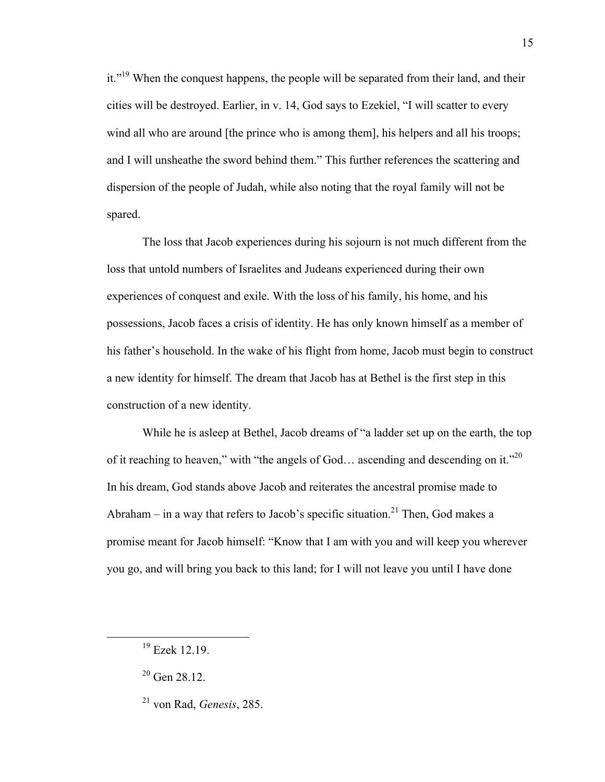it."<sup>19</sup> When the conquest happens, the people will be separated from their land, and their cities will be destroyed. Earlier, in v. 14, God says to Ezekiel, "I will scatter to every wind all who are around [the prince who is among them], his helpers and all his troops; and I will unsheathe the sword behind them." This further references the scattering and dispersion of the people of Judah, while also noting that the royal family will not be spared.

The loss that Jacob experiences during his sojourn is not much different from the loss that untold numbers of Israelites and Judeans experienced during their own experiences of conquest and exile. With the loss of his family, his home, and his possessions, Jacob faces a crisis of identity. He has only known himself as a member of his father's household. In the wake of his flight from home, Jacob must begin to construct a new identity for himself. The dream that Jacob has at Bethel is the first step in this construction of a new identity.

While he is asleep at Bethel, Jacob dreams of "a ladder set up on the earth, the top of it reaching to heaven," with "the angels of God... ascending and descending on it."<sup>20</sup> In his dream, God stands above Jacob and reiterates the ancestral promise made to Abraham – in a way that refers to Jacob's specific situation.<sup>21</sup> Then, God makes a promise meant for Jacob himself: "Know that I am with you and will keep you wherever you go, and will bring you back to this land; for I will not leave you until I have done

 $19$  Ezek 12.19.

 $20$  Gen 28.12.

<sup>21</sup> von Rad, *Genesis*, 285.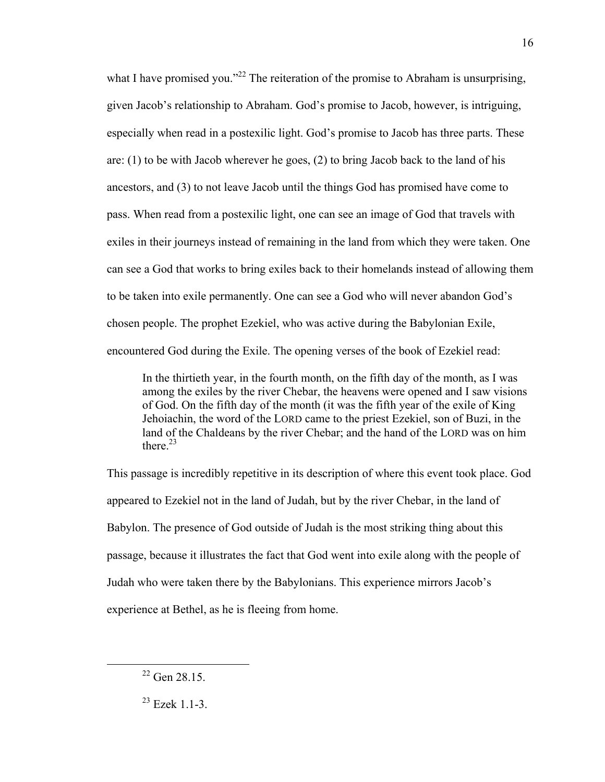what I have promised you."<sup>22</sup> The reiteration of the promise to Abraham is unsurprising, given Jacob's relationship to Abraham. God's promise to Jacob, however, is intriguing, especially when read in a postexilic light. God's promise to Jacob has three parts. These are: (1) to be with Jacob wherever he goes, (2) to bring Jacob back to the land of his ancestors, and (3) to not leave Jacob until the things God has promised have come to pass. When read from a postexilic light, one can see an image of God that travels with exiles in their journeys instead of remaining in the land from which they were taken. One can see a God that works to bring exiles back to their homelands instead of allowing them to be taken into exile permanently. One can see a God who will never abandon God's chosen people. The prophet Ezekiel, who was active during the Babylonian Exile, encountered God during the Exile. The opening verses of the book of Ezekiel read:

In the thirtieth year, in the fourth month, on the fifth day of the month, as I was among the exiles by the river Chebar, the heavens were opened and I saw visions of God. On the fifth day of the month (it was the fifth year of the exile of King Jehoiachin, the word of the LORD came to the priest Ezekiel, son of Buzi, in the land of the Chaldeans by the river Chebar; and the hand of the LORD was on him there. 23

This passage is incredibly repetitive in its description of where this event took place. God appeared to Ezekiel not in the land of Judah, but by the river Chebar, in the land of Babylon. The presence of God outside of Judah is the most striking thing about this passage, because it illustrates the fact that God went into exile along with the people of Judah who were taken there by the Babylonians. This experience mirrors Jacob's experience at Bethel, as he is fleeing from home.

<sup>&</sup>lt;sup>22</sup> Gen 28.15.

<sup>23</sup> Ezek 1.1-3.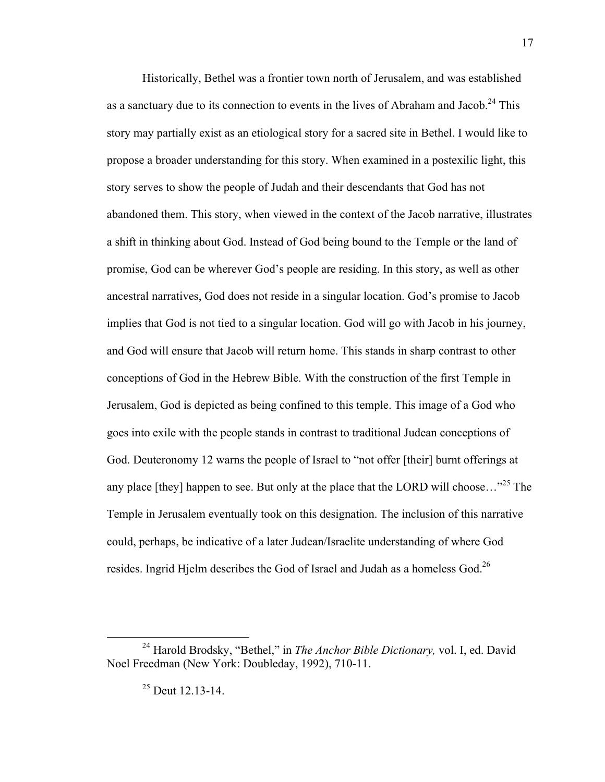Historically, Bethel was a frontier town north of Jerusalem, and was established as a sanctuary due to its connection to events in the lives of Abraham and Jacob.<sup>24</sup> This story may partially exist as an etiological story for a sacred site in Bethel. I would like to propose a broader understanding for this story. When examined in a postexilic light, this story serves to show the people of Judah and their descendants that God has not abandoned them. This story, when viewed in the context of the Jacob narrative, illustrates a shift in thinking about God. Instead of God being bound to the Temple or the land of promise, God can be wherever God's people are residing. In this story, as well as other ancestral narratives, God does not reside in a singular location. God's promise to Jacob implies that God is not tied to a singular location. God will go with Jacob in his journey, and God will ensure that Jacob will return home. This stands in sharp contrast to other conceptions of God in the Hebrew Bible. With the construction of the first Temple in Jerusalem, God is depicted as being confined to this temple. This image of a God who goes into exile with the people stands in contrast to traditional Judean conceptions of God. Deuteronomy 12 warns the people of Israel to "not offer [their] burnt offerings at any place [they] happen to see. But only at the place that the LORD will choose... $^{25}$  The Temple in Jerusalem eventually took on this designation. The inclusion of this narrative could, perhaps, be indicative of a later Judean/Israelite understanding of where God resides. Ingrid Hjelm describes the God of Israel and Judah as a homeless God.<sup>26</sup>

 <sup>24</sup> Harold Brodsky, "Bethel," in *The Anchor Bible Dictionary,* vol. I, ed. David Noel Freedman (New York: Doubleday, 1992), 710-11.

 $^{25}$  Deut 12.13-14.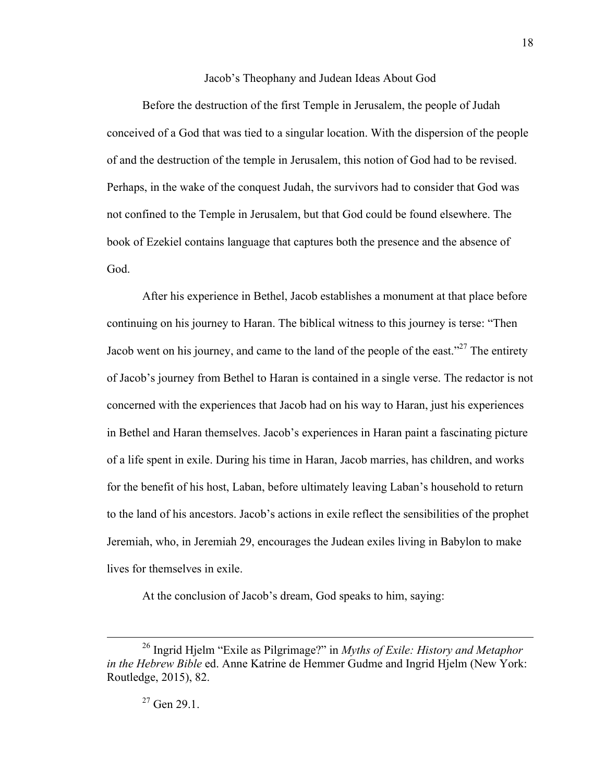Jacob's Theophany and Judean Ideas About God

Before the destruction of the first Temple in Jerusalem, the people of Judah conceived of a God that was tied to a singular location. With the dispersion of the people of and the destruction of the temple in Jerusalem, this notion of God had to be revised. Perhaps, in the wake of the conquest Judah, the survivors had to consider that God was not confined to the Temple in Jerusalem, but that God could be found elsewhere. The book of Ezekiel contains language that captures both the presence and the absence of God.

After his experience in Bethel, Jacob establishes a monument at that place before continuing on his journey to Haran. The biblical witness to this journey is terse: "Then Jacob went on his journey, and came to the land of the people of the east."<sup>27</sup> The entirety of Jacob's journey from Bethel to Haran is contained in a single verse. The redactor is not concerned with the experiences that Jacob had on his way to Haran, just his experiences in Bethel and Haran themselves. Jacob's experiences in Haran paint a fascinating picture of a life spent in exile. During his time in Haran, Jacob marries, has children, and works for the benefit of his host, Laban, before ultimately leaving Laban's household to return to the land of his ancestors. Jacob's actions in exile reflect the sensibilities of the prophet Jeremiah, who, in Jeremiah 29, encourages the Judean exiles living in Babylon to make lives for themselves in exile.

At the conclusion of Jacob's dream, God speaks to him, saying:

 <sup>26</sup> Ingrid Hjelm "Exile as Pilgrimage?" in *Myths of Exile: History and Metaphor in the Hebrew Bible* ed. Anne Katrine de Hemmer Gudme and Ingrid Hjelm (New York: Routledge, 2015), 82.

 $27$  Gen 29.1.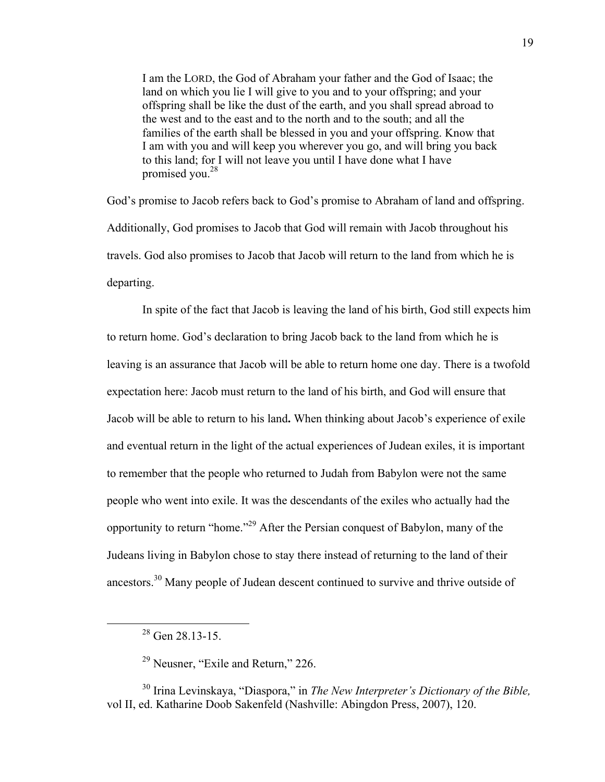I am the LORD, the God of Abraham your father and the God of Isaac; the land on which you lie I will give to you and to your offspring; and your offspring shall be like the dust of the earth, and you shall spread abroad to the west and to the east and to the north and to the south; and all the families of the earth shall be blessed in you and your offspring. Know that I am with you and will keep you wherever you go, and will bring you back to this land; for I will not leave you until I have done what I have promised you. 28

God's promise to Jacob refers back to God's promise to Abraham of land and offspring. Additionally, God promises to Jacob that God will remain with Jacob throughout his travels. God also promises to Jacob that Jacob will return to the land from which he is departing.

In spite of the fact that Jacob is leaving the land of his birth, God still expects him to return home. God's declaration to bring Jacob back to the land from which he is leaving is an assurance that Jacob will be able to return home one day. There is a twofold expectation here: Jacob must return to the land of his birth, and God will ensure that Jacob will be able to return to his land**.** When thinking about Jacob's experience of exile and eventual return in the light of the actual experiences of Judean exiles, it is important to remember that the people who returned to Judah from Babylon were not the same people who went into exile. It was the descendants of the exiles who actually had the opportunity to return "home."<sup>29</sup> After the Persian conquest of Babylon, many of the Judeans living in Babylon chose to stay there instead of returning to the land of their ancestors.<sup>30</sup> Many people of Judean descent continued to survive and thrive outside of

 $28$  Gen 28.13-15.

<sup>&</sup>lt;sup>29</sup> Neusner, "Exile and Return," 226.

<sup>30</sup> Irina Levinskaya, "Diaspora," in *The New Interpreter's Dictionary of the Bible,*  vol II, ed. Katharine Doob Sakenfeld (Nashville: Abingdon Press, 2007), 120.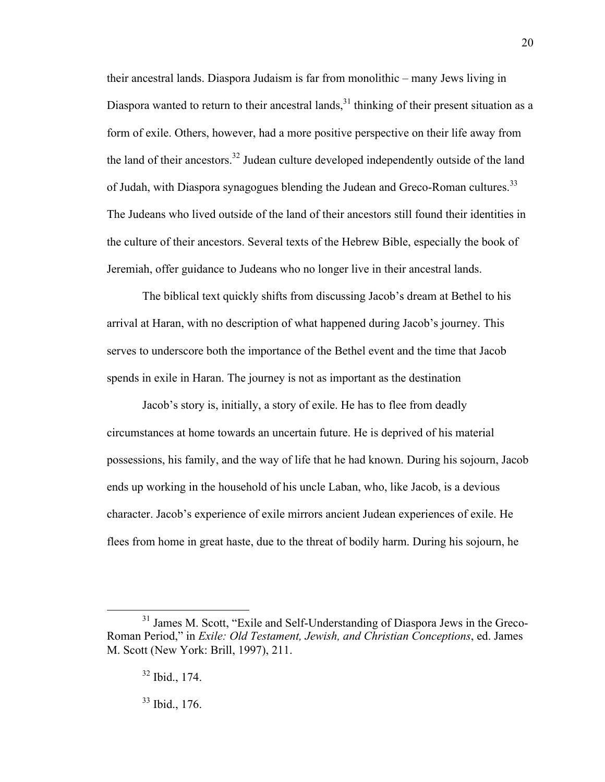their ancestral lands. Diaspora Judaism is far from monolithic – many Jews living in Diaspora wanted to return to their ancestral lands,  $31$  thinking of their present situation as a form of exile. Others, however, had a more positive perspective on their life away from the land of their ancestors.<sup>32</sup> Judean culture developed independently outside of the land of Judah, with Diaspora synagogues blending the Judean and Greco-Roman cultures.<sup>33</sup> The Judeans who lived outside of the land of their ancestors still found their identities in the culture of their ancestors. Several texts of the Hebrew Bible, especially the book of Jeremiah, offer guidance to Judeans who no longer live in their ancestral lands.

The biblical text quickly shifts from discussing Jacob's dream at Bethel to his arrival at Haran, with no description of what happened during Jacob's journey. This serves to underscore both the importance of the Bethel event and the time that Jacob spends in exile in Haran. The journey is not as important as the destination

Jacob's story is, initially, a story of exile. He has to flee from deadly circumstances at home towards an uncertain future. He is deprived of his material possessions, his family, and the way of life that he had known. During his sojourn, Jacob ends up working in the household of his uncle Laban, who, like Jacob, is a devious character. Jacob's experience of exile mirrors ancient Judean experiences of exile. He flees from home in great haste, due to the threat of bodily harm. During his sojourn, he

33 Ibid., 176.

<sup>&</sup>lt;sup>31</sup> James M. Scott, "Exile and Self-Understanding of Diaspora Jews in the Greco-Roman Period," in *Exile: Old Testament, Jewish, and Christian Conceptions*, ed. James M. Scott (New York: Brill, 1997), 211.

 $32$  Ibid., 174.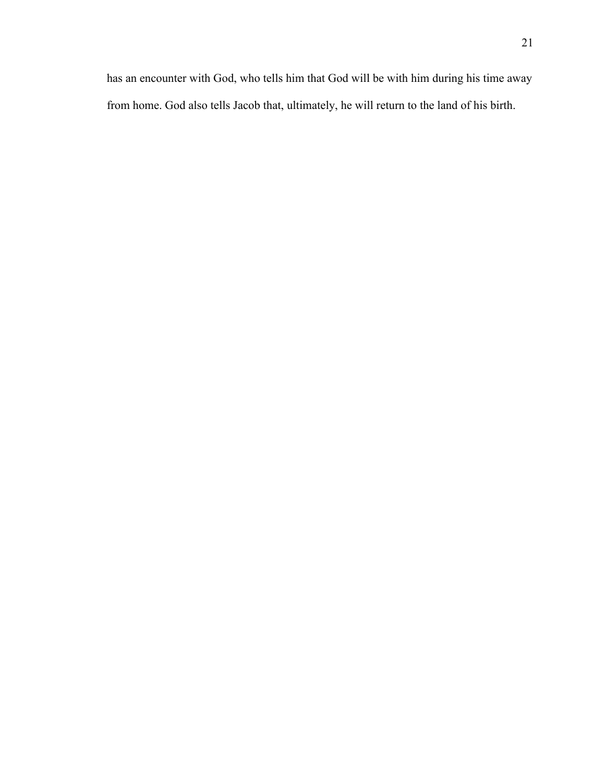has an encounter with God, who tells him that God will be with him during his time away from home. God also tells Jacob that, ultimately, he will return to the land of his birth.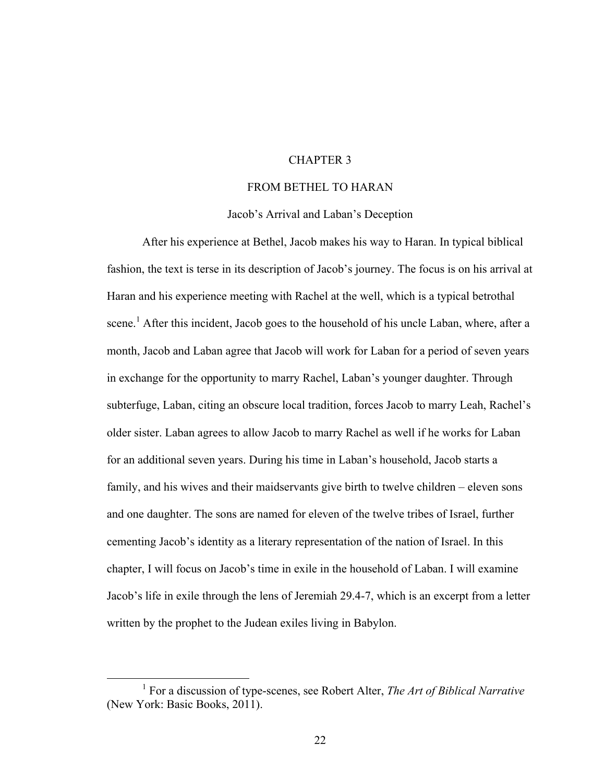#### CHAPTER 3

#### FROM BETHEL TO HARAN

#### Jacob's Arrival and Laban's Deception

After his experience at Bethel, Jacob makes his way to Haran. In typical biblical fashion, the text is terse in its description of Jacob's journey. The focus is on his arrival at Haran and his experience meeting with Rachel at the well, which is a typical betrothal scene.<sup>1</sup> After this incident, Jacob goes to the household of his uncle Laban, where, after a month, Jacob and Laban agree that Jacob will work for Laban for a period of seven years in exchange for the opportunity to marry Rachel, Laban's younger daughter. Through subterfuge, Laban, citing an obscure local tradition, forces Jacob to marry Leah, Rachel's older sister. Laban agrees to allow Jacob to marry Rachel as well if he works for Laban for an additional seven years. During his time in Laban's household, Jacob starts a family, and his wives and their maidservants give birth to twelve children – eleven sons and one daughter. The sons are named for eleven of the twelve tribes of Israel, further cementing Jacob's identity as a literary representation of the nation of Israel. In this chapter, I will focus on Jacob's time in exile in the household of Laban. I will examine Jacob's life in exile through the lens of Jeremiah 29.4-7, which is an excerpt from a letter written by the prophet to the Judean exiles living in Babylon.

<sup>&</sup>lt;u>1</u> For a discussion of type-scenes, see Robert Alter, *The Art of Biblical Narrative*  (New York: Basic Books, 2011).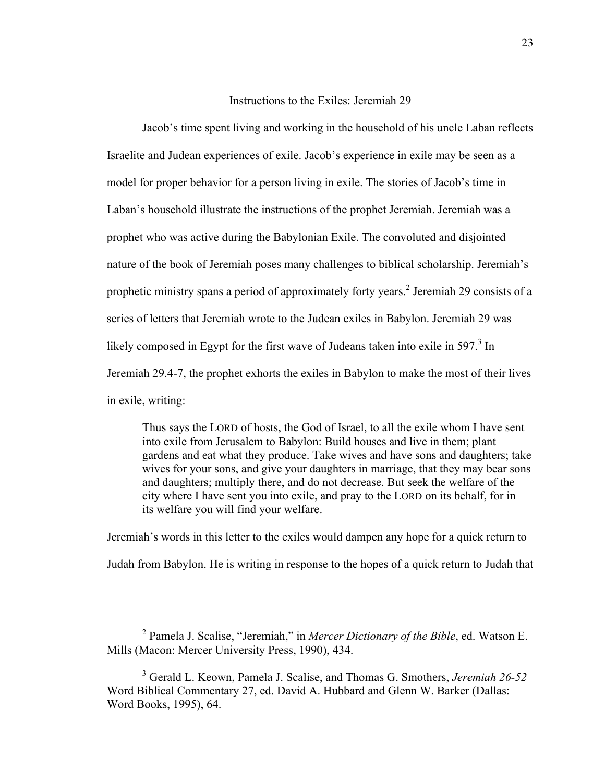#### Instructions to the Exiles: Jeremiah 29

Jacob's time spent living and working in the household of his uncle Laban reflects Israelite and Judean experiences of exile. Jacob's experience in exile may be seen as a model for proper behavior for a person living in exile. The stories of Jacob's time in Laban's household illustrate the instructions of the prophet Jeremiah. Jeremiah was a prophet who was active during the Babylonian Exile. The convoluted and disjointed nature of the book of Jeremiah poses many challenges to biblical scholarship. Jeremiah's prophetic ministry spans a period of approximately forty years.<sup>2</sup> Jeremiah 29 consists of a series of letters that Jeremiah wrote to the Judean exiles in Babylon. Jeremiah 29 was likely composed in Egypt for the first wave of Judeans taken into exile in  $597<sup>3</sup>$  In Jeremiah 29.4-7, the prophet exhorts the exiles in Babylon to make the most of their lives in exile, writing:

Thus says the LORD of hosts, the God of Israel, to all the exile whom I have sent into exile from Jerusalem to Babylon: Build houses and live in them; plant gardens and eat what they produce. Take wives and have sons and daughters; take wives for your sons, and give your daughters in marriage, that they may bear sons and daughters; multiply there, and do not decrease. But seek the welfare of the city where I have sent you into exile, and pray to the LORD on its behalf, for in its welfare you will find your welfare.

Jeremiah's words in this letter to the exiles would dampen any hope for a quick return to Judah from Babylon. He is writing in response to the hopes of a quick return to Judah that

 <sup>2</sup> Pamela J. Scalise, "Jeremiah," in *Mercer Dictionary of the Bible*, ed. Watson E. Mills (Macon: Mercer University Press, 1990), 434.

<sup>3</sup> Gerald L. Keown, Pamela J. Scalise, and Thomas G. Smothers, *Jeremiah 26-52*  Word Biblical Commentary 27, ed. David A. Hubbard and Glenn W. Barker (Dallas: Word Books, 1995), 64.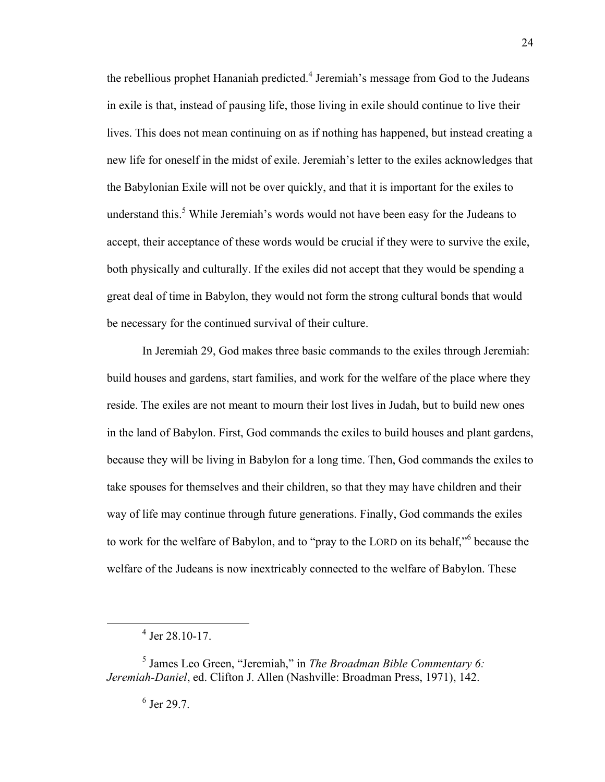the rebellious prophet Hananiah predicted.<sup>4</sup> Jeremiah's message from God to the Judeans in exile is that, instead of pausing life, those living in exile should continue to live their lives. This does not mean continuing on as if nothing has happened, but instead creating a new life for oneself in the midst of exile. Jeremiah's letter to the exiles acknowledges that the Babylonian Exile will not be over quickly, and that it is important for the exiles to understand this.<sup>5</sup> While Jeremiah's words would not have been easy for the Judeans to accept, their acceptance of these words would be crucial if they were to survive the exile, both physically and culturally. If the exiles did not accept that they would be spending a great deal of time in Babylon, they would not form the strong cultural bonds that would be necessary for the continued survival of their culture.

In Jeremiah 29, God makes three basic commands to the exiles through Jeremiah: build houses and gardens, start families, and work for the welfare of the place where they reside. The exiles are not meant to mourn their lost lives in Judah, but to build new ones in the land of Babylon. First, God commands the exiles to build houses and plant gardens, because they will be living in Babylon for a long time. Then, God commands the exiles to take spouses for themselves and their children, so that they may have children and their way of life may continue through future generations. Finally, God commands the exiles to work for the welfare of Babylon, and to "pray to the LORD on its behalf," because the welfare of the Judeans is now inextricably connected to the welfare of Babylon. These

 $\overline{4}$  $4$  Jer 28.10-17.

<sup>5</sup> James Leo Green, "Jeremiah," in *The Broadman Bible Commentary 6: Jeremiah-Daniel*, ed. Clifton J. Allen (Nashville: Broadman Press, 1971), 142.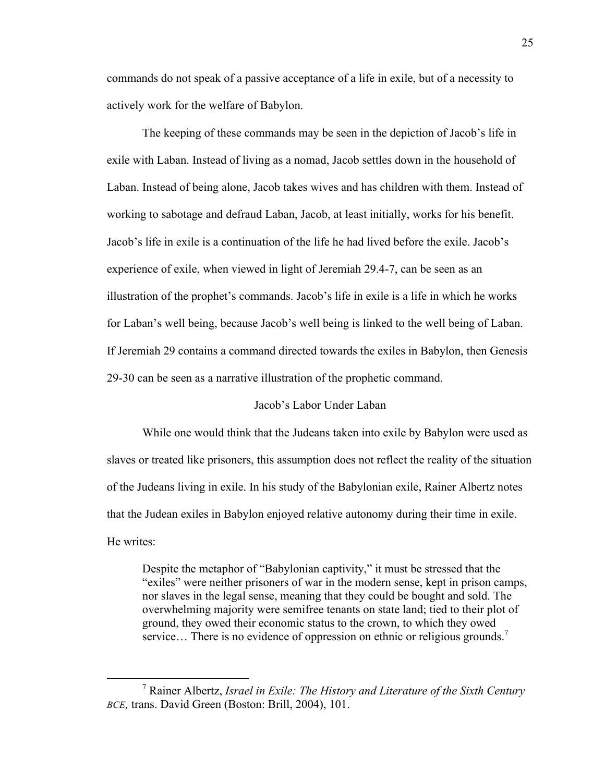commands do not speak of a passive acceptance of a life in exile, but of a necessity to actively work for the welfare of Babylon.

The keeping of these commands may be seen in the depiction of Jacob's life in exile with Laban. Instead of living as a nomad, Jacob settles down in the household of Laban. Instead of being alone, Jacob takes wives and has children with them. Instead of working to sabotage and defraud Laban, Jacob, at least initially, works for his benefit. Jacob's life in exile is a continuation of the life he had lived before the exile. Jacob's experience of exile, when viewed in light of Jeremiah 29.4-7, can be seen as an illustration of the prophet's commands. Jacob's life in exile is a life in which he works for Laban's well being, because Jacob's well being is linked to the well being of Laban. If Jeremiah 29 contains a command directed towards the exiles in Babylon, then Genesis 29-30 can be seen as a narrative illustration of the prophetic command.

#### Jacob's Labor Under Laban

While one would think that the Judeans taken into exile by Babylon were used as slaves or treated like prisoners, this assumption does not reflect the reality of the situation of the Judeans living in exile. In his study of the Babylonian exile, Rainer Albertz notes that the Judean exiles in Babylon enjoyed relative autonomy during their time in exile. He writes:

Despite the metaphor of "Babylonian captivity," it must be stressed that the "exiles" were neither prisoners of war in the modern sense, kept in prison camps, nor slaves in the legal sense, meaning that they could be bought and sold. The overwhelming majority were semifree tenants on state land; tied to their plot of ground, they owed their economic status to the crown, to which they owed service... There is no evidence of oppression on ethnic or religious grounds.<sup>7</sup>

 <sup>7</sup> Rainer Albertz, *Israel in Exile: The History and Literature of the Sixth Century BCE,* trans. David Green (Boston: Brill, 2004), 101.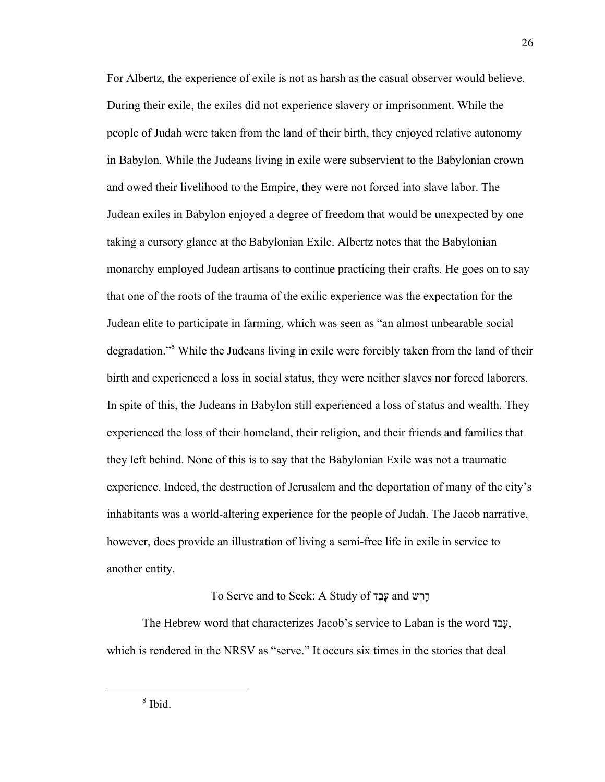For Albertz, the experience of exile is not as harsh as the casual observer would believe. During their exile, the exiles did not experience slavery or imprisonment. While the people of Judah were taken from the land of their birth, they enjoyed relative autonomy in Babylon. While the Judeans living in exile were subservient to the Babylonian crown and owed their livelihood to the Empire, they were not forced into slave labor. The Judean exiles in Babylon enjoyed a degree of freedom that would be unexpected by one taking a cursory glance at the Babylonian Exile. Albertz notes that the Babylonian monarchy employed Judean artisans to continue practicing their crafts. He goes on to say that one of the roots of the trauma of the exilic experience was the expectation for the Judean elite to participate in farming, which was seen as "an almost unbearable social degradation."<sup>8</sup> While the Judeans living in exile were forcibly taken from the land of their birth and experienced a loss in social status, they were neither slaves nor forced laborers. In spite of this, the Judeans in Babylon still experienced a loss of status and wealth. They experienced the loss of their homeland, their religion, and their friends and families that they left behind. None of this is to say that the Babylonian Exile was not a traumatic experience. Indeed, the destruction of Jerusalem and the deportation of many of the city's inhabitants was a world-altering experience for the people of Judah. The Jacob narrative, however, does provide an illustration of living a semi-free life in exile in service to another entity.

#### To Serve and to Seek: A Study of דַבָע and שַרָד

The Hebrew word that characterizes Jacob's service to Laban is the word דַבָע, which is rendered in the NRSV as "serve." It occurs six times in the stories that deal

26

 <sup>8</sup> <sup>8</sup> Ibid.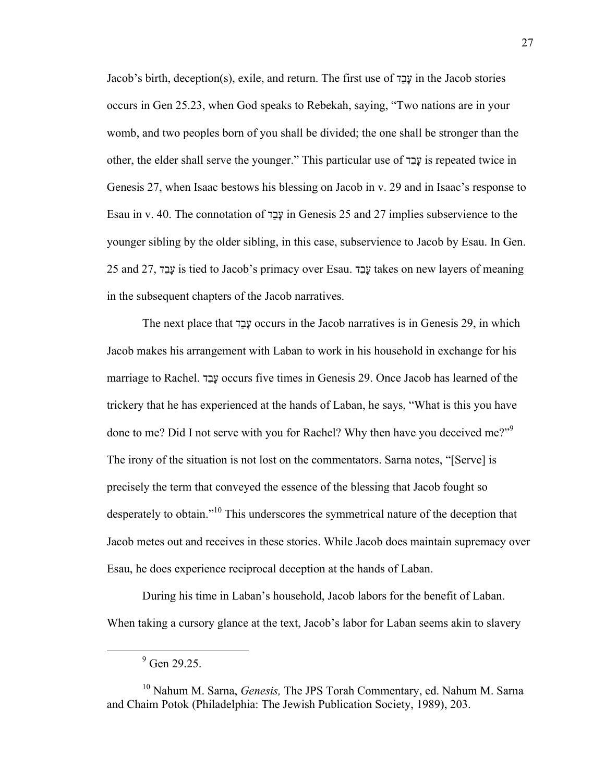Jacob's birth, deception(s), exile, and return. The first use of דַבָע in the Jacob stories occurs in Gen 25.23, when God speaks to Rebekah, saying, "Two nations are in your womb, and two peoples born of you shall be divided; the one shall be stronger than the other, the elder shall serve the younger." This particular use of דַבָע is repeated twice in Genesis 27, when Isaac bestows his blessing on Jacob in v. 29 and in Isaac's response to Esau in v. 40. The connotation of דַבָע in Genesis 25 and 27 implies subservience to the younger sibling by the older sibling, in this case, subservience to Jacob by Esau. In Gen. 25 and 27, דַבָע is tied to Jacob's primacy over Esau. דַבָע takes on new layers of meaning in the subsequent chapters of the Jacob narratives.

The next place that דַבָע occurs in the Jacob narratives is in Genesis 29, in which Jacob makes his arrangement with Laban to work in his household in exchange for his marriage to Rachel. דַבָע occurs five times in Genesis 29. Once Jacob has learned of the trickery that he has experienced at the hands of Laban, he says, "What is this you have done to me? Did I not serve with you for Rachel? Why then have you deceived me?"<sup>9</sup> The irony of the situation is not lost on the commentators. Sarna notes, "[Serve] is precisely the term that conveyed the essence of the blessing that Jacob fought so desperately to obtain."<sup>10</sup> This underscores the symmetrical nature of the deception that Jacob metes out and receives in these stories. While Jacob does maintain supremacy over Esau, he does experience reciprocal deception at the hands of Laban.

During his time in Laban's household, Jacob labors for the benefit of Laban. When taking a cursory glance at the text, Jacob's labor for Laban seems akin to slavery

 <sup>9</sup>  $9$  Gen 29.25.

<sup>10</sup> Nahum M. Sarna, *Genesis,* The JPS Torah Commentary, ed. Nahum M. Sarna and Chaim Potok (Philadelphia: The Jewish Publication Society, 1989), 203.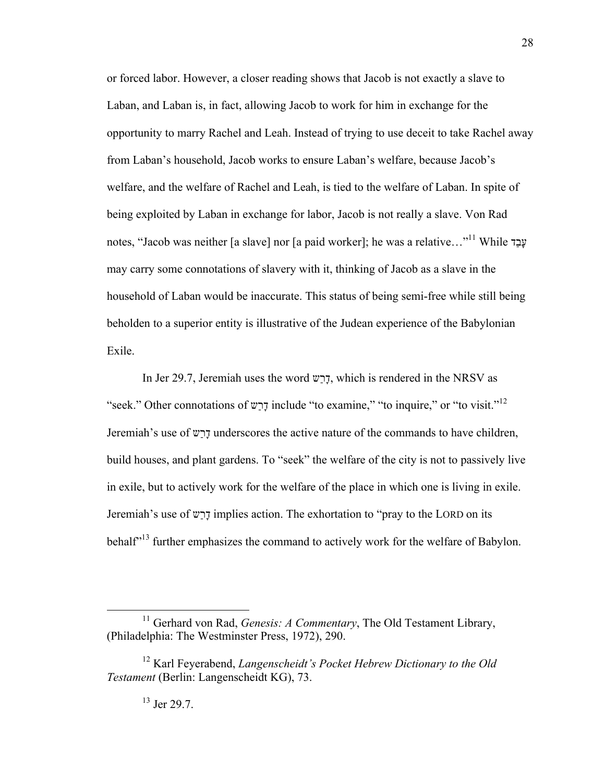or forced labor. However, a closer reading shows that Jacob is not exactly a slave to Laban, and Laban is, in fact, allowing Jacob to work for him in exchange for the opportunity to marry Rachel and Leah. Instead of trying to use deceit to take Rachel away from Laban's household, Jacob works to ensure Laban's welfare, because Jacob's welfare, and the welfare of Rachel and Leah, is tied to the welfare of Laban. In spite of being exploited by Laban in exchange for labor, Jacob is not really a slave. Von Rad notes, "Jacob was neither [a slave] nor [a paid worker]; he was a relative…" עָבַד While 11 may carry some connotations of slavery with it, thinking of Jacob as a slave in the household of Laban would be inaccurate. This status of being semi-free while still being beholden to a superior entity is illustrative of the Judean experience of the Babylonian Exile.

In Jer 29.7, Jeremiah uses the word שַרָד, which is rendered in the NRSV as "seek." Other connotations of שַרָד include "to examine," "to inquire," or "to visit." 12 Jeremiah's use of שַרָד underscores the active nature of the commands to have children, build houses, and plant gardens. To "seek" the welfare of the city is not to passively live in exile, but to actively work for the welfare of the place in which one is living in exile. Jeremiah's use of שַרָד implies action. The exhortation to "pray to the LORD on its behalf<sup>313</sup> further emphasizes the command to actively work for the welfare of Babylon.

<sup>&</sup>lt;sup>11</sup> Gerhard von Rad, *Genesis: A Commentary*, The Old Testament Library, (Philadelphia: The Westminster Press, 1972), 290.

<sup>12</sup> Karl Feyerabend, *Langenscheidt's Pocket Hebrew Dictionary to the Old Testament* (Berlin: Langenscheidt KG), 73.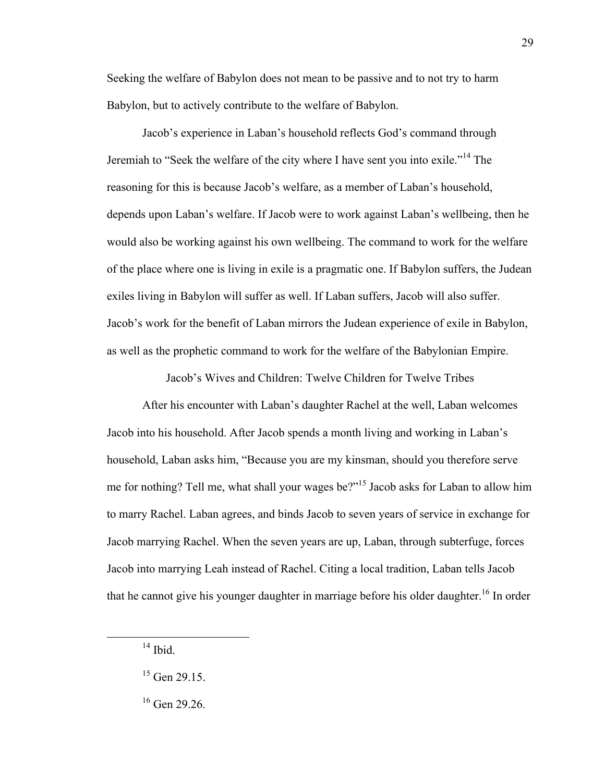Seeking the welfare of Babylon does not mean to be passive and to not try to harm Babylon, but to actively contribute to the welfare of Babylon.

Jacob's experience in Laban's household reflects God's command through Jeremiah to "Seek the welfare of the city where I have sent you into exile."<sup>14</sup> The reasoning for this is because Jacob's welfare, as a member of Laban's household, depends upon Laban's welfare. If Jacob were to work against Laban's wellbeing, then he would also be working against his own wellbeing. The command to work for the welfare of the place where one is living in exile is a pragmatic one. If Babylon suffers, the Judean exiles living in Babylon will suffer as well. If Laban suffers, Jacob will also suffer. Jacob's work for the benefit of Laban mirrors the Judean experience of exile in Babylon, as well as the prophetic command to work for the welfare of the Babylonian Empire.

Jacob's Wives and Children: Twelve Children for Twelve Tribes

After his encounter with Laban's daughter Rachel at the well, Laban welcomes Jacob into his household. After Jacob spends a month living and working in Laban's household, Laban asks him, "Because you are my kinsman, should you therefore serve me for nothing? Tell me, what shall your wages be?"<sup>15</sup> Jacob asks for Laban to allow him to marry Rachel. Laban agrees, and binds Jacob to seven years of service in exchange for Jacob marrying Rachel. When the seven years are up, Laban, through subterfuge, forces Jacob into marrying Leah instead of Rachel. Citing a local tradition, Laban tells Jacob that he cannot give his younger daughter in marriage before his older daughter.<sup>16</sup> In order

 $14$  Ibid.

 $15$  Gen 29.15.

<sup>&</sup>lt;sup>16</sup> Gen 29.26.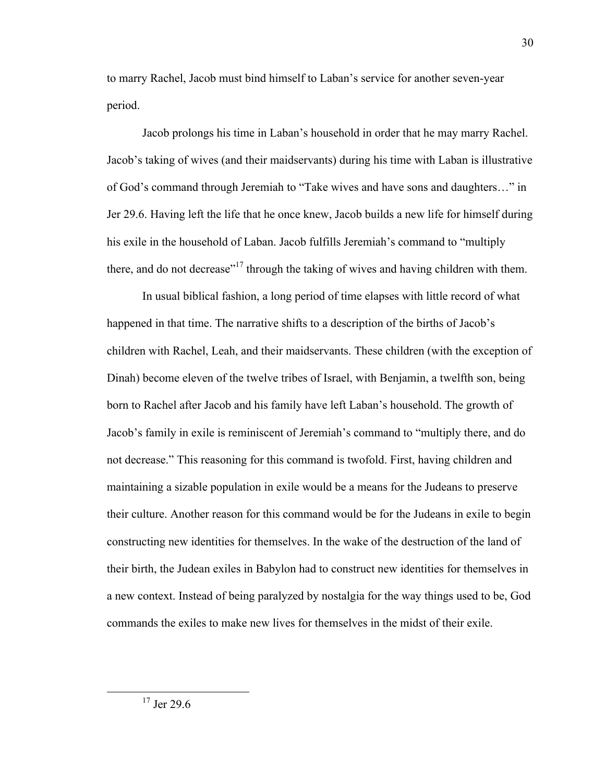to marry Rachel, Jacob must bind himself to Laban's service for another seven-year period.

Jacob prolongs his time in Laban's household in order that he may marry Rachel. Jacob's taking of wives (and their maidservants) during his time with Laban is illustrative of God's command through Jeremiah to "Take wives and have sons and daughters…" in Jer 29.6. Having left the life that he once knew, Jacob builds a new life for himself during his exile in the household of Laban. Jacob fulfills Jeremiah's command to "multiply there, and do not decrease"<sup>17</sup> through the taking of wives and having children with them.

In usual biblical fashion, a long period of time elapses with little record of what happened in that time. The narrative shifts to a description of the births of Jacob's children with Rachel, Leah, and their maidservants. These children (with the exception of Dinah) become eleven of the twelve tribes of Israel, with Benjamin, a twelfth son, being born to Rachel after Jacob and his family have left Laban's household. The growth of Jacob's family in exile is reminiscent of Jeremiah's command to "multiply there, and do not decrease." This reasoning for this command is twofold. First, having children and maintaining a sizable population in exile would be a means for the Judeans to preserve their culture. Another reason for this command would be for the Judeans in exile to begin constructing new identities for themselves. In the wake of the destruction of the land of their birth, the Judean exiles in Babylon had to construct new identities for themselves in a new context. Instead of being paralyzed by nostalgia for the way things used to be, God commands the exiles to make new lives for themselves in the midst of their exile.

 $17$  Jer 29.6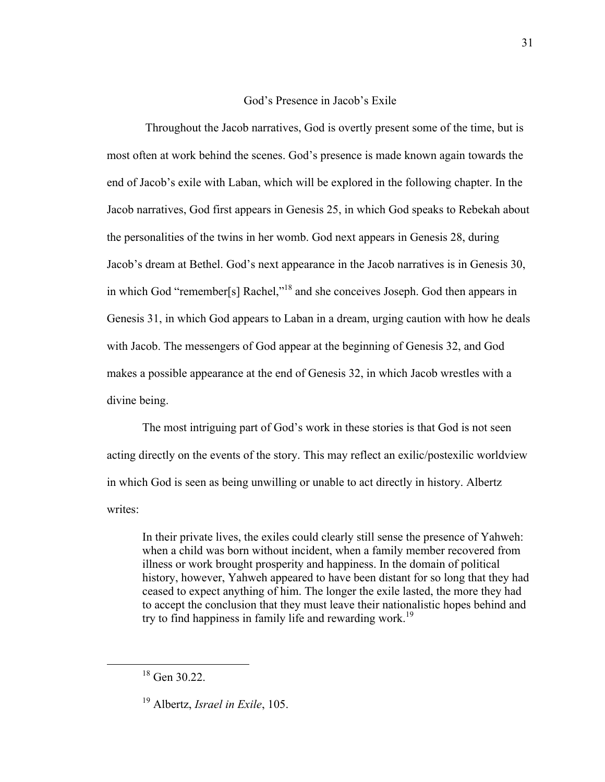#### God's Presence in Jacob's Exile

 Throughout the Jacob narratives, God is overtly present some of the time, but is most often at work behind the scenes. God's presence is made known again towards the end of Jacob's exile with Laban, which will be explored in the following chapter. In the Jacob narratives, God first appears in Genesis 25, in which God speaks to Rebekah about the personalities of the twins in her womb. God next appears in Genesis 28, during Jacob's dream at Bethel. God's next appearance in the Jacob narratives is in Genesis 30, in which God "remember[s] Rachel,"<sup>18</sup> and she conceives Joseph. God then appears in Genesis 31, in which God appears to Laban in a dream, urging caution with how he deals with Jacob. The messengers of God appear at the beginning of Genesis 32, and God makes a possible appearance at the end of Genesis 32, in which Jacob wrestles with a divine being.

The most intriguing part of God's work in these stories is that God is not seen acting directly on the events of the story. This may reflect an exilic/postexilic worldview in which God is seen as being unwilling or unable to act directly in history. Albertz writes<sup>.</sup>

In their private lives, the exiles could clearly still sense the presence of Yahweh: when a child was born without incident, when a family member recovered from illness or work brought prosperity and happiness. In the domain of political history, however, Yahweh appeared to have been distant for so long that they had ceased to expect anything of him. The longer the exile lasted, the more they had to accept the conclusion that they must leave their nationalistic hopes behind and try to find happiness in family life and rewarding work.<sup>19</sup>

 <sup>18</sup> Gen 30.22.

<sup>19</sup> Albertz, *Israel in Exile*, 105.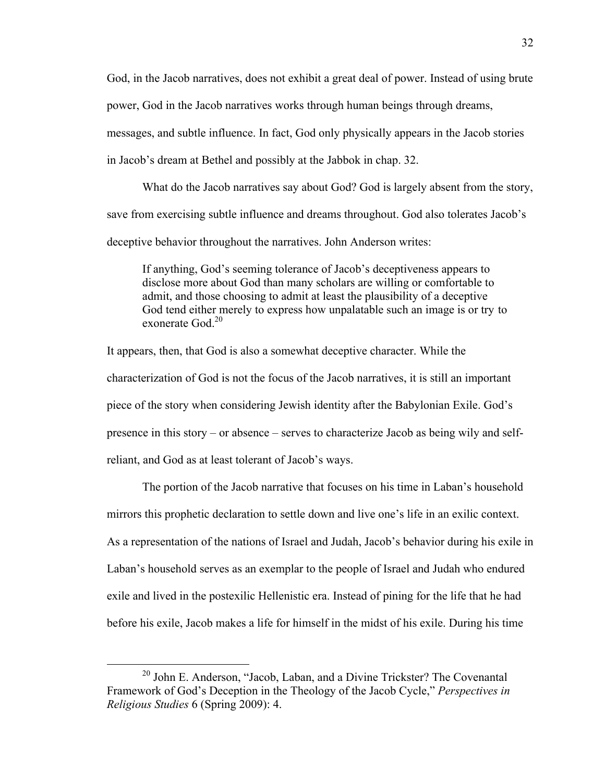God, in the Jacob narratives, does not exhibit a great deal of power. Instead of using brute power, God in the Jacob narratives works through human beings through dreams, messages, and subtle influence. In fact, God only physically appears in the Jacob stories

in Jacob's dream at Bethel and possibly at the Jabbok in chap. 32.

What do the Jacob narratives say about God? God is largely absent from the story, save from exercising subtle influence and dreams throughout. God also tolerates Jacob's deceptive behavior throughout the narratives. John Anderson writes:

If anything, God's seeming tolerance of Jacob's deceptiveness appears to disclose more about God than many scholars are willing or comfortable to admit, and those choosing to admit at least the plausibility of a deceptive God tend either merely to express how unpalatable such an image is or try to exonerate God. 20

It appears, then, that God is also a somewhat deceptive character. While the characterization of God is not the focus of the Jacob narratives, it is still an important piece of the story when considering Jewish identity after the Babylonian Exile. God's presence in this story – or absence – serves to characterize Jacob as being wily and selfreliant, and God as at least tolerant of Jacob's ways.

The portion of the Jacob narrative that focuses on his time in Laban's household mirrors this prophetic declaration to settle down and live one's life in an exilic context. As a representation of the nations of Israel and Judah, Jacob's behavior during his exile in Laban's household serves as an exemplar to the people of Israel and Judah who endured exile and lived in the postexilic Hellenistic era. Instead of pining for the life that he had before his exile, Jacob makes a life for himself in the midst of his exile. During his time

<sup>&</sup>lt;sup>20</sup> John E. Anderson, "Jacob, Laban, and a Divine Trickster? The Covenantal Framework of God's Deception in the Theology of the Jacob Cycle," *Perspectives in Religious Studies* 6 (Spring 2009): 4.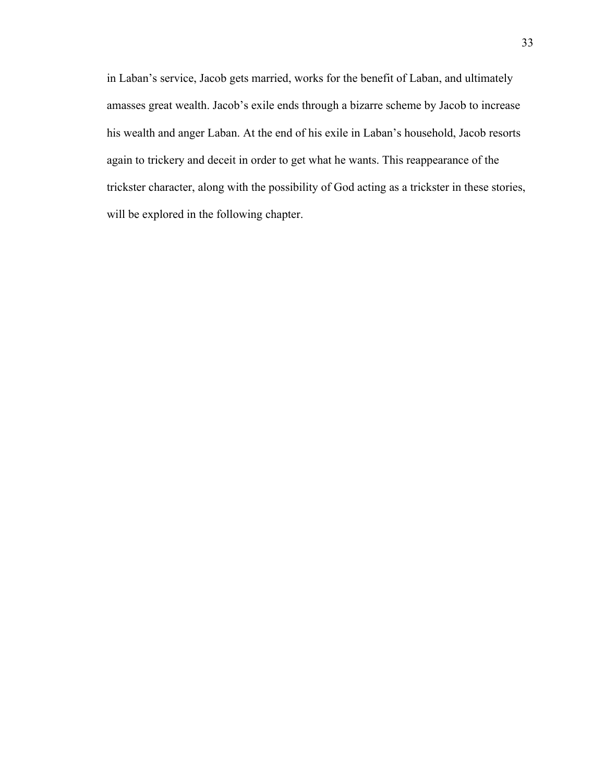in Laban's service, Jacob gets married, works for the benefit of Laban, and ultimately amasses great wealth. Jacob's exile ends through a bizarre scheme by Jacob to increase his wealth and anger Laban. At the end of his exile in Laban's household, Jacob resorts again to trickery and deceit in order to get what he wants. This reappearance of the trickster character, along with the possibility of God acting as a trickster in these stories, will be explored in the following chapter.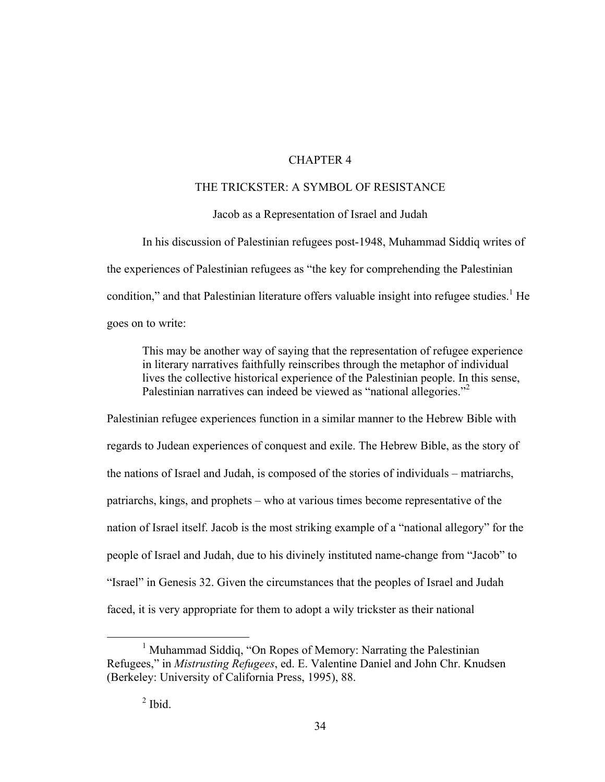#### CHAPTER 4

### THE TRICKSTER: A SYMBOL OF RESISTANCE

#### Jacob as a Representation of Israel and Judah

In his discussion of Palestinian refugees post-1948, Muhammad Siddiq writes of the experiences of Palestinian refugees as "the key for comprehending the Palestinian condition," and that Palestinian literature offers valuable insight into refugee studies.<sup>1</sup> He goes on to write:

This may be another way of saying that the representation of refugee experience in literary narratives faithfully reinscribes through the metaphor of individual lives the collective historical experience of the Palestinian people. In this sense, Palestinian narratives can indeed be viewed as "national allegories."<sup>2</sup>

Palestinian refugee experiences function in a similar manner to the Hebrew Bible with regards to Judean experiences of conquest and exile. The Hebrew Bible, as the story of the nations of Israel and Judah, is composed of the stories of individuals – matriarchs, patriarchs, kings, and prophets – who at various times become representative of the nation of Israel itself. Jacob is the most striking example of a "national allegory" for the people of Israel and Judah, due to his divinely instituted name-change from "Jacob" to "Israel" in Genesis 32. Given the circumstances that the peoples of Israel and Judah faced, it is very appropriate for them to adopt a wily trickster as their national

 $\overline{1}$ <sup>1</sup> Muhammad Siddiq, "On Ropes of Memory: Narrating the Palestinian Refugees," in *Mistrusting Refugees*, ed. E. Valentine Daniel and John Chr. Knudsen (Berkeley: University of California Press, 1995), 88.

 $<sup>2</sup>$  Ibid.</sup>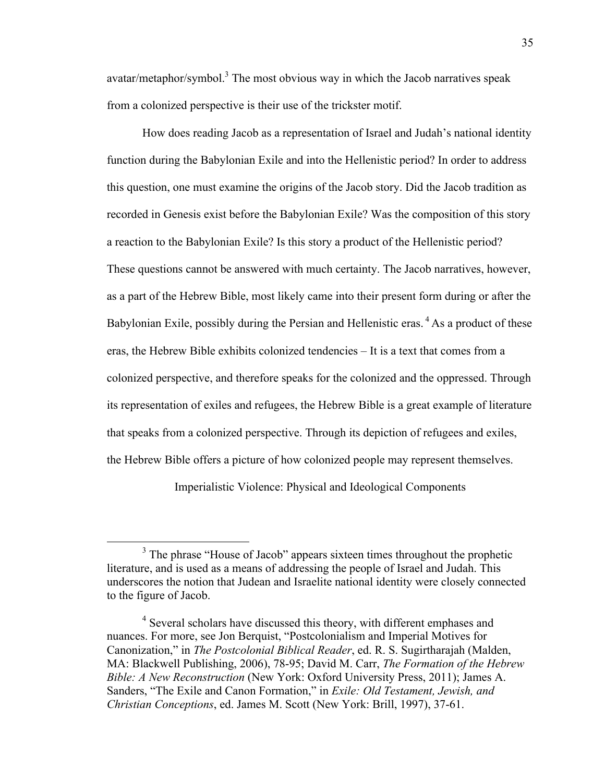avatar/metaphor/symbol.<sup>3</sup> The most obvious way in which the Jacob narratives speak from a colonized perspective is their use of the trickster motif.

How does reading Jacob as a representation of Israel and Judah's national identity function during the Babylonian Exile and into the Hellenistic period? In order to address this question, one must examine the origins of the Jacob story. Did the Jacob tradition as recorded in Genesis exist before the Babylonian Exile? Was the composition of this story a reaction to the Babylonian Exile? Is this story a product of the Hellenistic period? These questions cannot be answered with much certainty. The Jacob narratives, however, as a part of the Hebrew Bible, most likely came into their present form during or after the Babylonian Exile, possibly during the Persian and Hellenistic eras. <sup>4</sup> As a product of these eras, the Hebrew Bible exhibits colonized tendencies – It is a text that comes from a colonized perspective, and therefore speaks for the colonized and the oppressed. Through its representation of exiles and refugees, the Hebrew Bible is a great example of literature that speaks from a colonized perspective. Through its depiction of refugees and exiles, the Hebrew Bible offers a picture of how colonized people may represent themselves.

Imperialistic Violence: Physical and Ideological Components

 $\frac{1}{3}$  $3$ . The phrase "House of Jacob" appears sixteen times throughout the prophetic literature, and is used as a means of addressing the people of Israel and Judah. This underscores the notion that Judean and Israelite national identity were closely connected to the figure of Jacob.

<sup>&</sup>lt;sup>4</sup> Several scholars have discussed this theory, with different emphases and nuances. For more, see Jon Berquist, "Postcolonialism and Imperial Motives for Canonization," in *The Postcolonial Biblical Reader*, ed. R. S. Sugirtharajah (Malden, MA: Blackwell Publishing, 2006), 78-95; David M. Carr, *The Formation of the Hebrew Bible: A New Reconstruction* (New York: Oxford University Press, 2011); James A. Sanders, "The Exile and Canon Formation," in *Exile: Old Testament, Jewish, and Christian Conceptions*, ed. James M. Scott (New York: Brill, 1997), 37-61.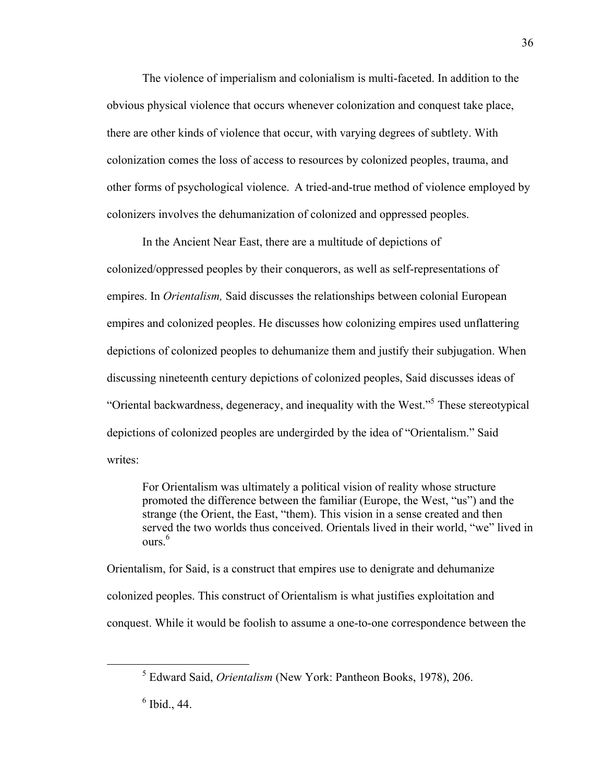The violence of imperialism and colonialism is multi-faceted. In addition to the obvious physical violence that occurs whenever colonization and conquest take place, there are other kinds of violence that occur, with varying degrees of subtlety. With colonization comes the loss of access to resources by colonized peoples, trauma, and other forms of psychological violence. A tried-and-true method of violence employed by colonizers involves the dehumanization of colonized and oppressed peoples.

In the Ancient Near East, there are a multitude of depictions of colonized/oppressed peoples by their conquerors, as well as self-representations of empires. In *Orientalism,* Said discusses the relationships between colonial European empires and colonized peoples. He discusses how colonizing empires used unflattering depictions of colonized peoples to dehumanize them and justify their subjugation. When discussing nineteenth century depictions of colonized peoples, Said discusses ideas of "Oriental backwardness, degeneracy, and inequality with the West."<sup>5</sup> These stereotypical depictions of colonized peoples are undergirded by the idea of "Orientalism." Said writes<sup>.</sup>

For Orientalism was ultimately a political vision of reality whose structure promoted the difference between the familiar (Europe, the West, "us") and the strange (the Orient, the East, "them). This vision in a sense created and then served the two worlds thus conceived. Orientals lived in their world, "we" lived in ours. 6

Orientalism, for Said, is a construct that empires use to denigrate and dehumanize colonized peoples. This construct of Orientalism is what justifies exploitation and conquest. While it would be foolish to assume a one-to-one correspondence between the

36

 $rac{1}{5}$ Edward Said, *Orientalism* (New York: Pantheon Books, 1978), 206.

 $<sup>6</sup>$  Ibid., 44.</sup>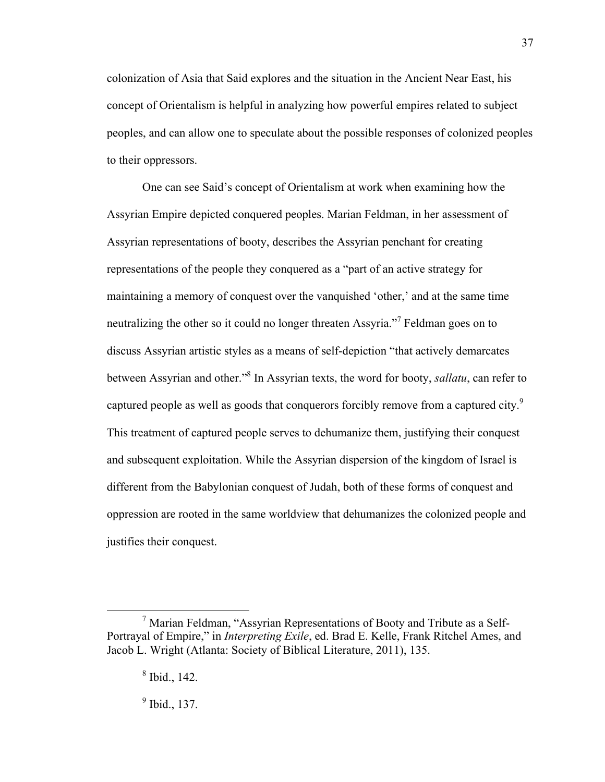colonization of Asia that Said explores and the situation in the Ancient Near East, his concept of Orientalism is helpful in analyzing how powerful empires related to subject peoples, and can allow one to speculate about the possible responses of colonized peoples to their oppressors.

One can see Said's concept of Orientalism at work when examining how the Assyrian Empire depicted conquered peoples. Marian Feldman, in her assessment of Assyrian representations of booty, describes the Assyrian penchant for creating representations of the people they conquered as a "part of an active strategy for maintaining a memory of conquest over the vanquished 'other,' and at the same time neutralizing the other so it could no longer threaten Assyria."<sup>7</sup> Feldman goes on to discuss Assyrian artistic styles as a means of self-depiction "that actively demarcates between Assyrian and other." 8 In Assyrian texts, the word for booty, *sallatu*, can refer to captured people as well as goods that conquerors forcibly remove from a captured city.<sup>9</sup> This treatment of captured people serves to dehumanize them, justifying their conquest and subsequent exploitation. While the Assyrian dispersion of the kingdom of Israel is different from the Babylonian conquest of Judah, both of these forms of conquest and oppression are rooted in the same worldview that dehumanizes the colonized people and justifies their conquest.

37

<sup>9</sup> Ibid., 137.

 <sup>7</sup>  $\frac{7}{1}$  Marian Feldman, "Assyrian Representations of Booty and Tribute as a Self-Portrayal of Empire," in *Interpreting Exile*, ed. Brad E. Kelle, Frank Ritchel Ames, and Jacob L. Wright (Atlanta: Society of Biblical Literature, 2011), 135.

<sup>8</sup> Ibid., 142.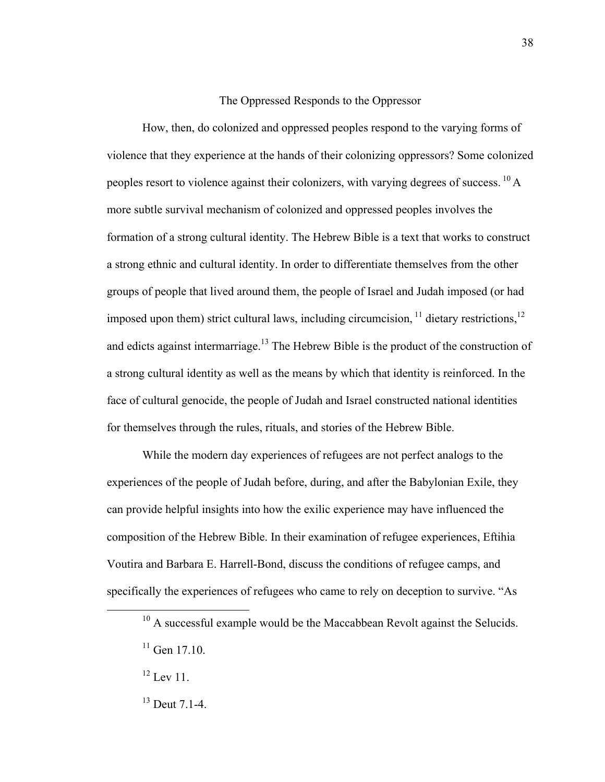#### The Oppressed Responds to the Oppressor

How, then, do colonized and oppressed peoples respond to the varying forms of violence that they experience at the hands of their colonizing oppressors? Some colonized peoples resort to violence against their colonizers, with varying degrees of success. <sup>10</sup> A more subtle survival mechanism of colonized and oppressed peoples involves the formation of a strong cultural identity. The Hebrew Bible is a text that works to construct a strong ethnic and cultural identity. In order to differentiate themselves from the other groups of people that lived around them, the people of Israel and Judah imposed (or had imposed upon them) strict cultural laws, including circumcision,  $11$  dietary restrictions,  $12$ and edicts against intermarriage.<sup>13</sup> The Hebrew Bible is the product of the construction of a strong cultural identity as well as the means by which that identity is reinforced. In the face of cultural genocide, the people of Judah and Israel constructed national identities for themselves through the rules, rituals, and stories of the Hebrew Bible.

While the modern day experiences of refugees are not perfect analogs to the experiences of the people of Judah before, during, and after the Babylonian Exile, they can provide helpful insights into how the exilic experience may have influenced the composition of the Hebrew Bible. In their examination of refugee experiences, Eftihia Voutira and Barbara E. Harrell-Bond, discuss the conditions of refugee camps, and specifically the experiences of refugees who came to rely on deception to survive. "As

 $10$  A successful example would be the Maccabbean Revolt against the Selucids.

 $11$  Gen 17.10.

 $^{12}$  Lev 11.

<sup>13</sup> Deut 7.1-4.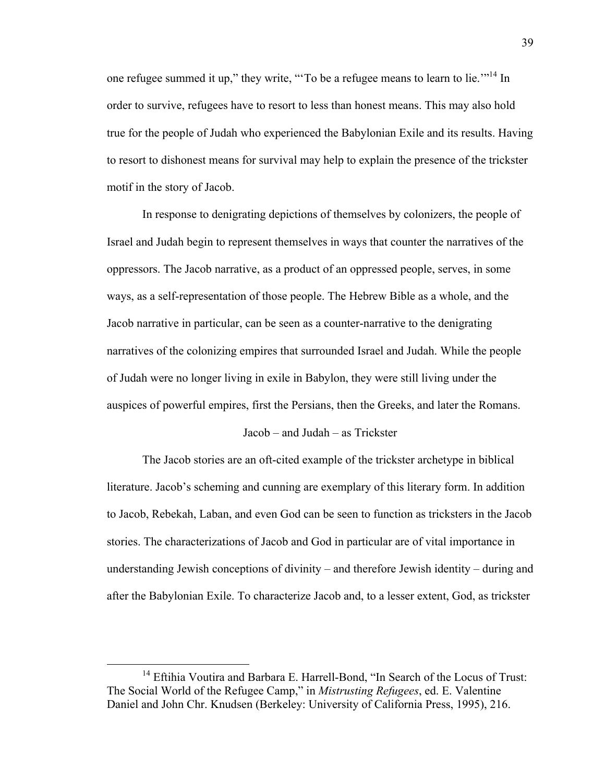one refugee summed it up," they write, "To be a refugee means to learn to lie."<sup>14</sup> In order to survive, refugees have to resort to less than honest means. This may also hold true for the people of Judah who experienced the Babylonian Exile and its results. Having to resort to dishonest means for survival may help to explain the presence of the trickster motif in the story of Jacob.

In response to denigrating depictions of themselves by colonizers, the people of Israel and Judah begin to represent themselves in ways that counter the narratives of the oppressors. The Jacob narrative, as a product of an oppressed people, serves, in some ways, as a self-representation of those people. The Hebrew Bible as a whole, and the Jacob narrative in particular, can be seen as a counter-narrative to the denigrating narratives of the colonizing empires that surrounded Israel and Judah. While the people of Judah were no longer living in exile in Babylon, they were still living under the auspices of powerful empires, first the Persians, then the Greeks, and later the Romans.

#### Jacob – and Judah – as Trickster

The Jacob stories are an oft-cited example of the trickster archetype in biblical literature. Jacob's scheming and cunning are exemplary of this literary form. In addition to Jacob, Rebekah, Laban, and even God can be seen to function as tricksters in the Jacob stories. The characterizations of Jacob and God in particular are of vital importance in understanding Jewish conceptions of divinity – and therefore Jewish identity – during and after the Babylonian Exile. To characterize Jacob and, to a lesser extent, God, as trickster

<sup>&</sup>lt;sup>14</sup> Eftihia Voutira and Barbara E. Harrell-Bond, "In Search of the Locus of Trust: The Social World of the Refugee Camp," in *Mistrusting Refugees*, ed. E. Valentine Daniel and John Chr. Knudsen (Berkeley: University of California Press, 1995), 216.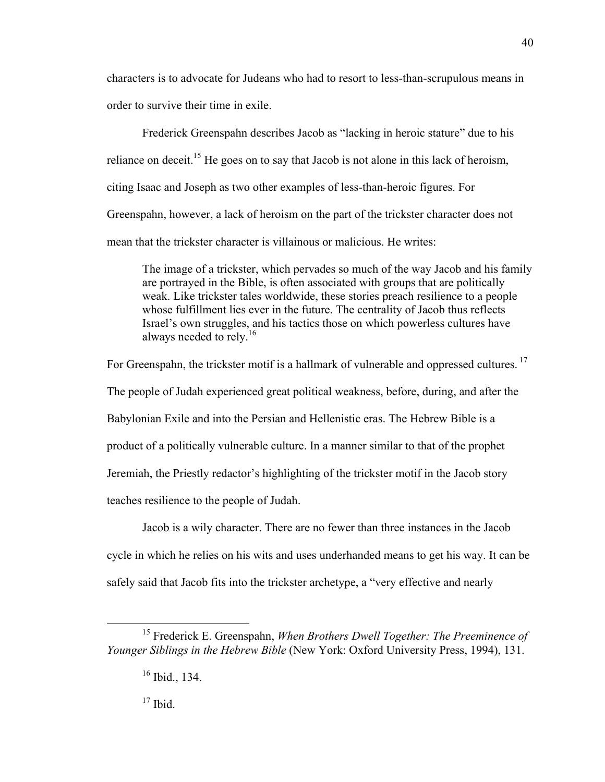characters is to advocate for Judeans who had to resort to less-than-scrupulous means in order to survive their time in exile.

Frederick Greenspahn describes Jacob as "lacking in heroic stature" due to his reliance on deceit.<sup>15</sup> He goes on to say that Jacob is not alone in this lack of heroism, citing Isaac and Joseph as two other examples of less-than-heroic figures. For Greenspahn, however, a lack of heroism on the part of the trickster character does not mean that the trickster character is villainous or malicious. He writes:

The image of a trickster, which pervades so much of the way Jacob and his family are portrayed in the Bible, is often associated with groups that are politically weak. Like trickster tales worldwide, these stories preach resilience to a people whose fulfillment lies ever in the future. The centrality of Jacob thus reflects Israel's own struggles, and his tactics those on which powerless cultures have always needed to rely.<sup>16</sup>

For Greenspahn, the trickster motif is a hallmark of vulnerable and oppressed cultures.<sup>17</sup> The people of Judah experienced great political weakness, before, during, and after the Babylonian Exile and into the Persian and Hellenistic eras. The Hebrew Bible is a product of a politically vulnerable culture. In a manner similar to that of the prophet Jeremiah, the Priestly redactor's highlighting of the trickster motif in the Jacob story teaches resilience to the people of Judah.

Jacob is a wily character. There are no fewer than three instances in the Jacob cycle in which he relies on his wits and uses underhanded means to get his way. It can be safely said that Jacob fits into the trickster archetype, a "very effective and nearly

 $17$  Ibid.

 <sup>15</sup> Frederick E. Greenspahn, *When Brothers Dwell Together: The Preeminence of Younger Siblings in the Hebrew Bible* (New York: Oxford University Press, 1994), 131.

 $16$  Ibid., 134.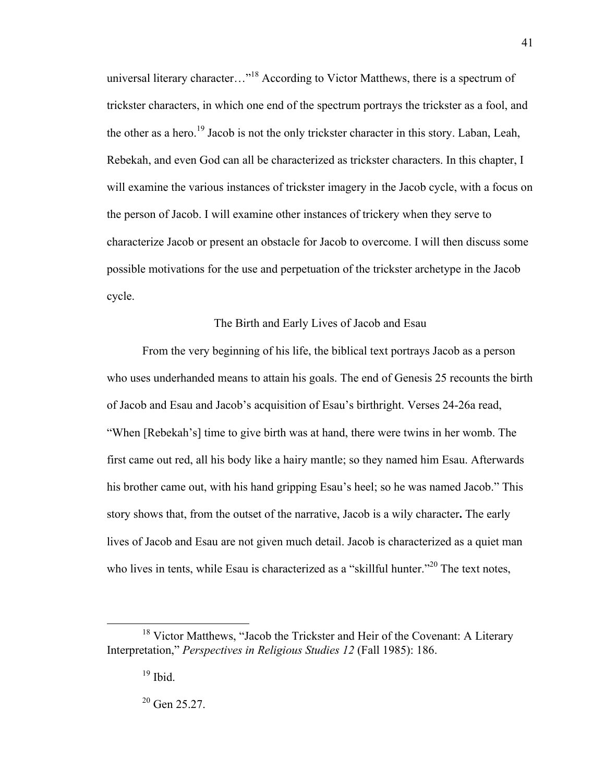universal literary character..."<sup>18</sup> According to Victor Matthews, there is a spectrum of trickster characters, in which one end of the spectrum portrays the trickster as a fool, and the other as a hero.<sup>19</sup> Jacob is not the only trickster character in this story. Laban, Leah, Rebekah, and even God can all be characterized as trickster characters. In this chapter, I will examine the various instances of trickster imagery in the Jacob cycle, with a focus on the person of Jacob. I will examine other instances of trickery when they serve to characterize Jacob or present an obstacle for Jacob to overcome. I will then discuss some possible motivations for the use and perpetuation of the trickster archetype in the Jacob cycle.

#### The Birth and Early Lives of Jacob and Esau

From the very beginning of his life, the biblical text portrays Jacob as a person who uses underhanded means to attain his goals. The end of Genesis 25 recounts the birth of Jacob and Esau and Jacob's acquisition of Esau's birthright. Verses 24-26a read, "When [Rebekah's] time to give birth was at hand, there were twins in her womb. The first came out red, all his body like a hairy mantle; so they named him Esau. Afterwards his brother came out, with his hand gripping Esau's heel; so he was named Jacob." This story shows that, from the outset of the narrative, Jacob is a wily character**.** The early lives of Jacob and Esau are not given much detail. Jacob is characterized as a quiet man who lives in tents, while Esau is characterized as a "skillful hunter."<sup>20</sup> The text notes,

<sup>&</sup>lt;sup>18</sup> Victor Matthews, "Jacob the Trickster and Heir of the Covenant: A Literary Interpretation," *Perspectives in Religious Studies 12* (Fall 1985): 186.

 $19$  Ibid.

<sup>&</sup>lt;sup>20</sup> Gen 25.27.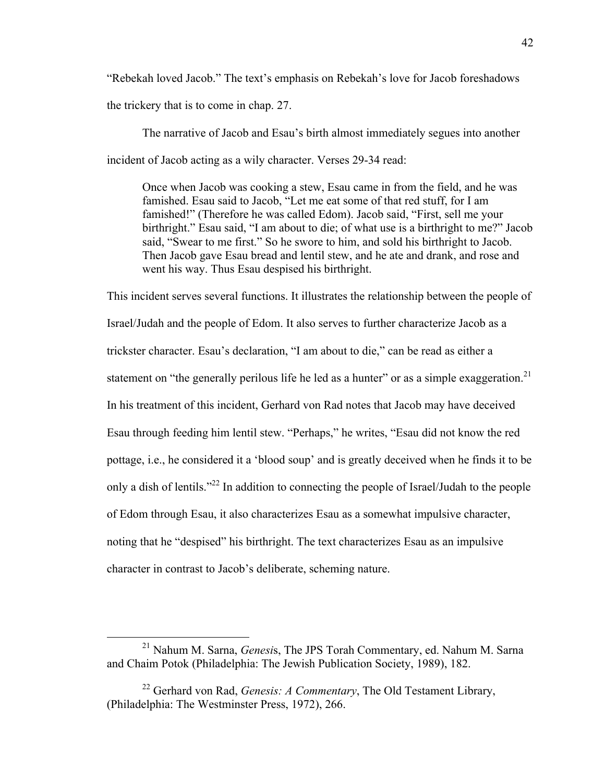"Rebekah loved Jacob." The text's emphasis on Rebekah's love for Jacob foreshadows the trickery that is to come in chap. 27.

The narrative of Jacob and Esau's birth almost immediately segues into another incident of Jacob acting as a wily character. Verses 29-34 read:

Once when Jacob was cooking a stew, Esau came in from the field, and he was famished. Esau said to Jacob, "Let me eat some of that red stuff, for I am famished!" (Therefore he was called Edom). Jacob said, "First, sell me your birthright." Esau said, "I am about to die; of what use is a birthright to me?" Jacob said, "Swear to me first." So he swore to him, and sold his birthright to Jacob. Then Jacob gave Esau bread and lentil stew, and he ate and drank, and rose and went his way. Thus Esau despised his birthright.

This incident serves several functions. It illustrates the relationship between the people of Israel/Judah and the people of Edom. It also serves to further characterize Jacob as a trickster character. Esau's declaration, "I am about to die," can be read as either a statement on "the generally perilous life he led as a hunter" or as a simple exaggeration.<sup>21</sup> In his treatment of this incident, Gerhard von Rad notes that Jacob may have deceived Esau through feeding him lentil stew. "Perhaps," he writes, "Esau did not know the red pottage, i.e., he considered it a 'blood soup' and is greatly deceived when he finds it to be only a dish of lentils."<sup>22</sup> In addition to connecting the people of Israel/Judah to the people of Edom through Esau, it also characterizes Esau as a somewhat impulsive character, noting that he "despised" his birthright. The text characterizes Esau as an impulsive character in contrast to Jacob's deliberate, scheming nature.

 <sup>21</sup> Nahum M. Sarna, *Genesi*s, The JPS Torah Commentary, ed. Nahum M. Sarna and Chaim Potok (Philadelphia: The Jewish Publication Society, 1989), 182.

<sup>22</sup> Gerhard von Rad, *Genesis: A Commentary*, The Old Testament Library, (Philadelphia: The Westminster Press, 1972), 266.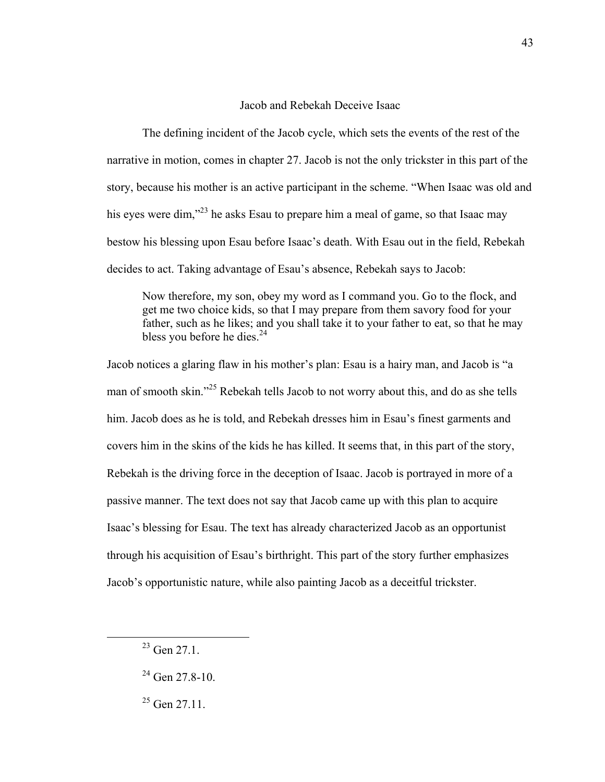#### Jacob and Rebekah Deceive Isaac

The defining incident of the Jacob cycle, which sets the events of the rest of the narrative in motion, comes in chapter 27. Jacob is not the only trickster in this part of the story, because his mother is an active participant in the scheme. "When Isaac was old and his eyes were dim,"<sup>23</sup> he asks Esau to prepare him a meal of game, so that Isaac may bestow his blessing upon Esau before Isaac's death. With Esau out in the field, Rebekah decides to act. Taking advantage of Esau's absence, Rebekah says to Jacob:

Now therefore, my son, obey my word as I command you. Go to the flock, and get me two choice kids, so that I may prepare from them savory food for your father, such as he likes; and you shall take it to your father to eat, so that he may bless you before he dies.<sup>24</sup>

Jacob notices a glaring flaw in his mother's plan: Esau is a hairy man, and Jacob is "a man of smooth skin."<sup>25</sup> Rebekah tells Jacob to not worry about this, and do as she tells him. Jacob does as he is told, and Rebekah dresses him in Esau's finest garments and covers him in the skins of the kids he has killed. It seems that, in this part of the story, Rebekah is the driving force in the deception of Isaac. Jacob is portrayed in more of a passive manner. The text does not say that Jacob came up with this plan to acquire Isaac's blessing for Esau. The text has already characterized Jacob as an opportunist through his acquisition of Esau's birthright. This part of the story further emphasizes Jacob's opportunistic nature, while also painting Jacob as a deceitful trickster.

 $23$  Gen 27.1.

 $24$  Gen 27.8-10.

 $25$  Gen 27.11.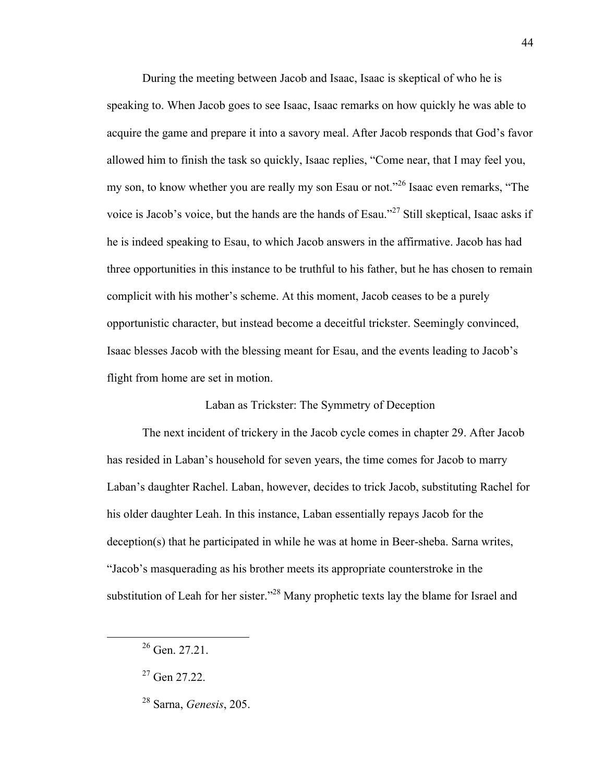During the meeting between Jacob and Isaac, Isaac is skeptical of who he is speaking to. When Jacob goes to see Isaac, Isaac remarks on how quickly he was able to acquire the game and prepare it into a savory meal. After Jacob responds that God's favor allowed him to finish the task so quickly, Isaac replies, "Come near, that I may feel you, my son, to know whether you are really my son Esau or not."<sup>26</sup> Isaac even remarks, "The voice is Jacob's voice, but the hands are the hands of Esau."<sup>27</sup> Still skeptical, Isaac asks if he is indeed speaking to Esau, to which Jacob answers in the affirmative. Jacob has had three opportunities in this instance to be truthful to his father, but he has chosen to remain complicit with his mother's scheme. At this moment, Jacob ceases to be a purely opportunistic character, but instead become a deceitful trickster. Seemingly convinced, Isaac blesses Jacob with the blessing meant for Esau, and the events leading to Jacob's flight from home are set in motion.

Laban as Trickster: The Symmetry of Deception

The next incident of trickery in the Jacob cycle comes in chapter 29. After Jacob has resided in Laban's household for seven years, the time comes for Jacob to marry Laban's daughter Rachel. Laban, however, decides to trick Jacob, substituting Rachel for his older daughter Leah. In this instance, Laban essentially repays Jacob for the deception(s) that he participated in while he was at home in Beer-sheba. Sarna writes, "Jacob's masquerading as his brother meets its appropriate counterstroke in the substitution of Leah for her sister."<sup>28</sup> Many prophetic texts lay the blame for Israel and

 $26$  Gen. 27.21.

 $27$  Gen 27.22.

<sup>28</sup> Sarna, *Genesis*, 205.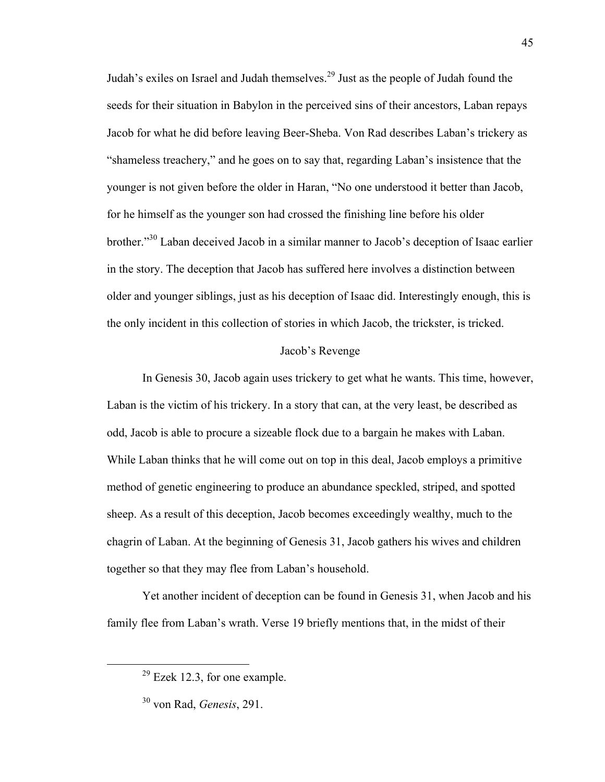Judah's exiles on Israel and Judah themselves.<sup>29</sup> Just as the people of Judah found the seeds for their situation in Babylon in the perceived sins of their ancestors, Laban repays Jacob for what he did before leaving Beer-Sheba. Von Rad describes Laban's trickery as "shameless treachery," and he goes on to say that, regarding Laban's insistence that the younger is not given before the older in Haran, "No one understood it better than Jacob, for he himself as the younger son had crossed the finishing line before his older brother."<sup>30</sup> Laban deceived Jacob in a similar manner to Jacob's deception of Isaac earlier in the story. The deception that Jacob has suffered here involves a distinction between older and younger siblings, just as his deception of Isaac did. Interestingly enough, this is the only incident in this collection of stories in which Jacob, the trickster, is tricked.

#### Jacob's Revenge

In Genesis 30, Jacob again uses trickery to get what he wants. This time, however, Laban is the victim of his trickery. In a story that can, at the very least, be described as odd, Jacob is able to procure a sizeable flock due to a bargain he makes with Laban. While Laban thinks that he will come out on top in this deal, Jacob employs a primitive method of genetic engineering to produce an abundance speckled, striped, and spotted sheep. As a result of this deception, Jacob becomes exceedingly wealthy, much to the chagrin of Laban. At the beginning of Genesis 31, Jacob gathers his wives and children together so that they may flee from Laban's household.

Yet another incident of deception can be found in Genesis 31, when Jacob and his family flee from Laban's wrath. Verse 19 briefly mentions that, in the midst of their

 $29$  Ezek 12.3, for one example.

<sup>30</sup> von Rad, *Genesis*, 291.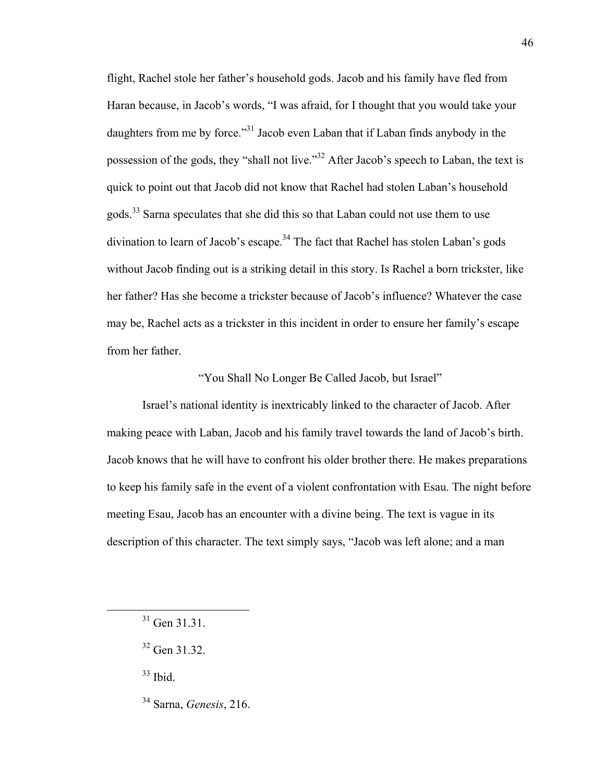flight, Rachel stole her father's household gods. Jacob and his family have fled from Haran because, in Jacob's words, "I was afraid, for I thought that you would take your daughters from me by force."<sup>31</sup> Jacob even Laban that if Laban finds anybody in the possession of the gods, they "shall not live."32 After Jacob's speech to Laban, the text is quick to point out that Jacob did not know that Rachel had stolen Laban's household gods.<sup>33</sup> Sarna speculates that she did this so that Laban could not use them to use divination to learn of Jacob's escape.<sup>34</sup> The fact that Rachel has stolen Laban's gods without Jacob finding out is a striking detail in this story. Is Rachel a born trickster, like her father? Has she become a trickster because of Jacob's influence? Whatever the case may be, Rachel acts as a trickster in this incident in order to ensure her family's escape from her father.

"You Shall No Longer Be Called Jacob, but Israel"

Israel's national identity is inextricably linked to the character of Jacob. After making peace with Laban, Jacob and his family travel towards the land of Jacob's birth. Jacob knows that he will have to confront his older brother there. He makes preparations to keep his family safe in the event of a violent confrontation with Esau. The night before meeting Esau, Jacob has an encounter with a divine being. The text is vague in its description of this character. The text simply says, "Jacob was left alone; and a man

 $33$  Ibid.

34 Sarna, *Genesis*, 216.

 $31$  Gen 31.31.

<sup>32</sup> Gen 31.32.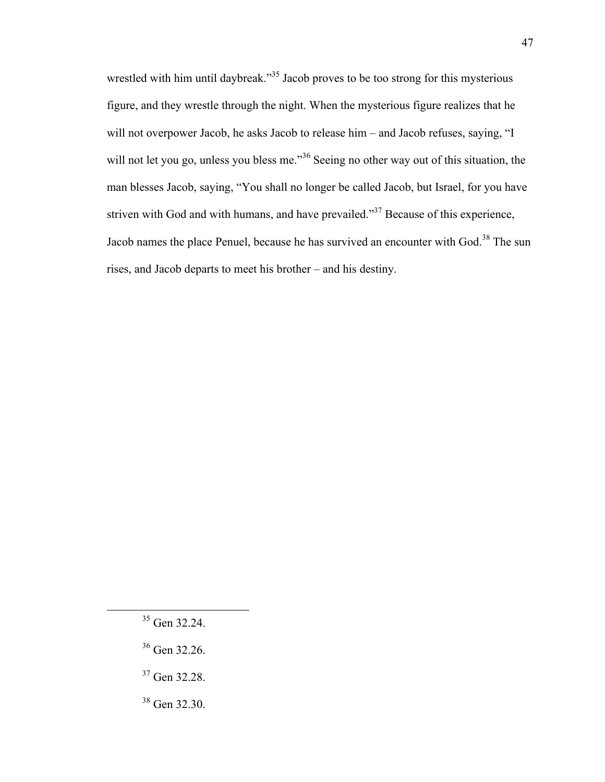wrestled with him until daybreak."<sup>35</sup> Jacob proves to be too strong for this mysterious figure, and they wrestle through the night. When the mysterious figure realizes that he will not overpower Jacob, he asks Jacob to release him – and Jacob refuses, saying, "I will not let you go, unless you bless me.<sup>356</sup> Seeing no other way out of this situation, the man blesses Jacob, saying, "You shall no longer be called Jacob, but Israel, for you have striven with God and with humans, and have prevailed."<sup>37</sup> Because of this experience, Jacob names the place Penuel, because he has survived an encounter with God.<sup>38</sup> The sun rises, and Jacob departs to meet his brother – and his destiny.

- 36 Gen 32.26.
- 37 Gen 32.28.

47

38 Gen 32.30.

 <sup>35</sup> Gen 32.24.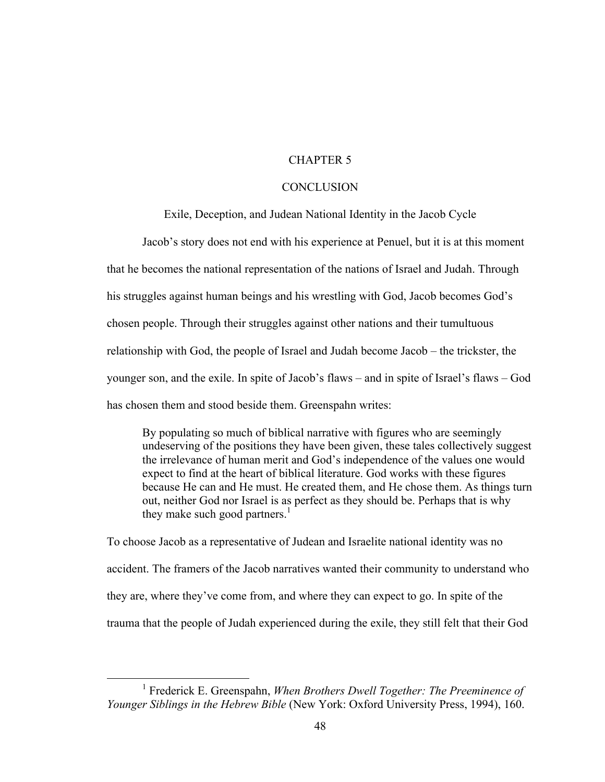#### CHAPTER 5

#### **CONCLUSION**

#### Exile, Deception, and Judean National Identity in the Jacob Cycle

Jacob's story does not end with his experience at Penuel, but it is at this moment that he becomes the national representation of the nations of Israel and Judah. Through his struggles against human beings and his wrestling with God, Jacob becomes God's chosen people. Through their struggles against other nations and their tumultuous relationship with God, the people of Israel and Judah become Jacob – the trickster, the younger son, and the exile. In spite of Jacob's flaws – and in spite of Israel's flaws – God has chosen them and stood beside them. Greenspahn writes:

By populating so much of biblical narrative with figures who are seemingly undeserving of the positions they have been given, these tales collectively suggest the irrelevance of human merit and God's independence of the values one would expect to find at the heart of biblical literature. God works with these figures because He can and He must. He created them, and He chose them. As things turn out, neither God nor Israel is as perfect as they should be. Perhaps that is why they make such good partners.<sup>1</sup>

To choose Jacob as a representative of Judean and Israelite national identity was no accident. The framers of the Jacob narratives wanted their community to understand who they are, where they've come from, and where they can expect to go. In spite of the trauma that the people of Judah experienced during the exile, they still felt that their God

<sup>&</sup>lt;u>1</u> Frederick E. Greenspahn, *When Brothers Dwell Together: The Preeminence of Younger Siblings in the Hebrew Bible* (New York: Oxford University Press, 1994), 160.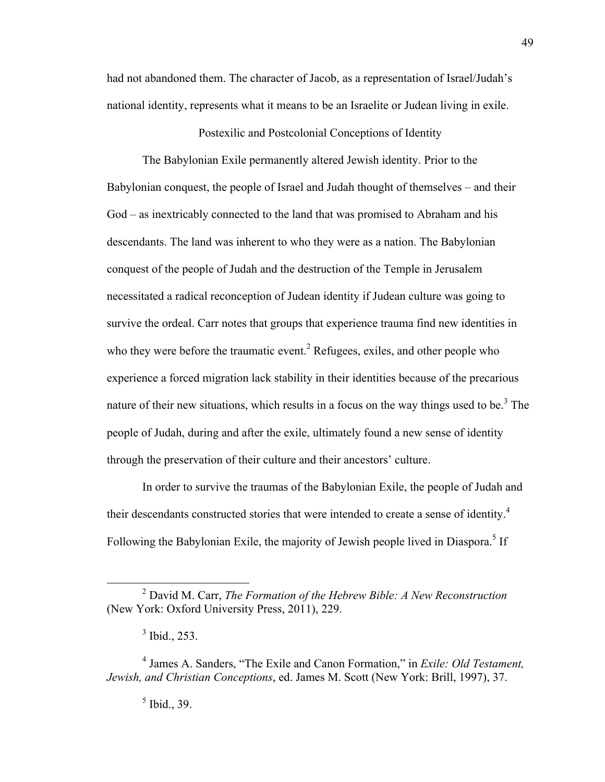had not abandoned them. The character of Jacob, as a representation of Israel/Judah's national identity, represents what it means to be an Israelite or Judean living in exile.

Postexilic and Postcolonial Conceptions of Identity

The Babylonian Exile permanently altered Jewish identity. Prior to the Babylonian conquest, the people of Israel and Judah thought of themselves – and their God – as inextricably connected to the land that was promised to Abraham and his descendants. The land was inherent to who they were as a nation. The Babylonian conquest of the people of Judah and the destruction of the Temple in Jerusalem necessitated a radical reconception of Judean identity if Judean culture was going to survive the ordeal. Carr notes that groups that experience trauma find new identities in who they were before the traumatic event.<sup>2</sup> Refugees, exiles, and other people who experience a forced migration lack stability in their identities because of the precarious nature of their new situations, which results in a focus on the way things used to be.<sup>3</sup> The people of Judah, during and after the exile, ultimately found a new sense of identity through the preservation of their culture and their ancestors' culture.

In order to survive the traumas of the Babylonian Exile, the people of Judah and their descendants constructed stories that were intended to create a sense of identity. 4 Following the Babylonian Exile, the majority of Jewish people lived in Diaspora.<sup>5</sup> If

 <sup>2</sup> David M. Carr, *The Formation of the Hebrew Bible: A New Reconstruction* (New York: Oxford University Press, 2011), 229.

 $3$  Ibid., 253.

<sup>4</sup> James A. Sanders, "The Exile and Canon Formation," in *Exile: Old Testament, Jewish, and Christian Conceptions*, ed. James M. Scott (New York: Brill, 1997), 37.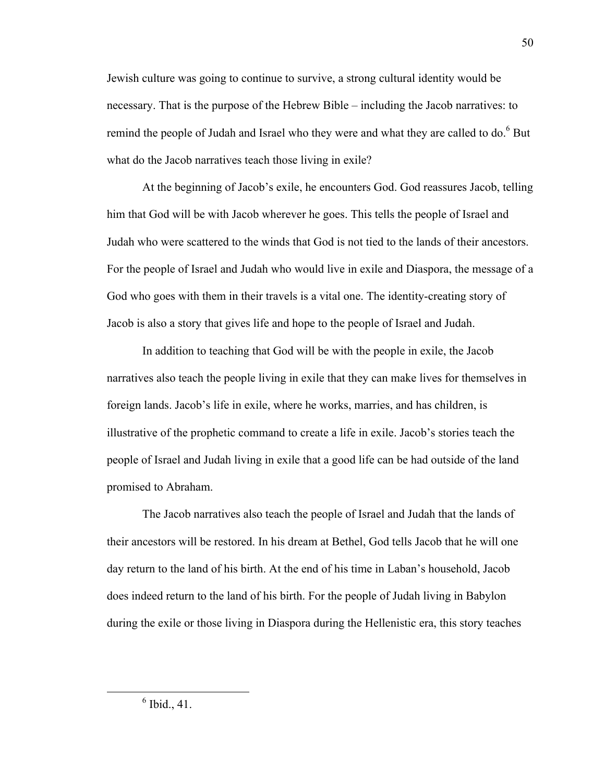Jewish culture was going to continue to survive, a strong cultural identity would be necessary. That is the purpose of the Hebrew Bible – including the Jacob narratives: to remind the people of Judah and Israel who they were and what they are called to do.<sup>6</sup> But what do the Jacob narratives teach those living in exile?

At the beginning of Jacob's exile, he encounters God. God reassures Jacob, telling him that God will be with Jacob wherever he goes. This tells the people of Israel and Judah who were scattered to the winds that God is not tied to the lands of their ancestors. For the people of Israel and Judah who would live in exile and Diaspora, the message of a God who goes with them in their travels is a vital one. The identity-creating story of Jacob is also a story that gives life and hope to the people of Israel and Judah.

In addition to teaching that God will be with the people in exile, the Jacob narratives also teach the people living in exile that they can make lives for themselves in foreign lands. Jacob's life in exile, where he works, marries, and has children, is illustrative of the prophetic command to create a life in exile. Jacob's stories teach the people of Israel and Judah living in exile that a good life can be had outside of the land promised to Abraham.

The Jacob narratives also teach the people of Israel and Judah that the lands of their ancestors will be restored. In his dream at Bethel, God tells Jacob that he will one day return to the land of his birth. At the end of his time in Laban's household, Jacob does indeed return to the land of his birth. For the people of Judah living in Babylon during the exile or those living in Diaspora during the Hellenistic era, this story teaches

 <sup>6</sup>  $6$  Ibid., 41.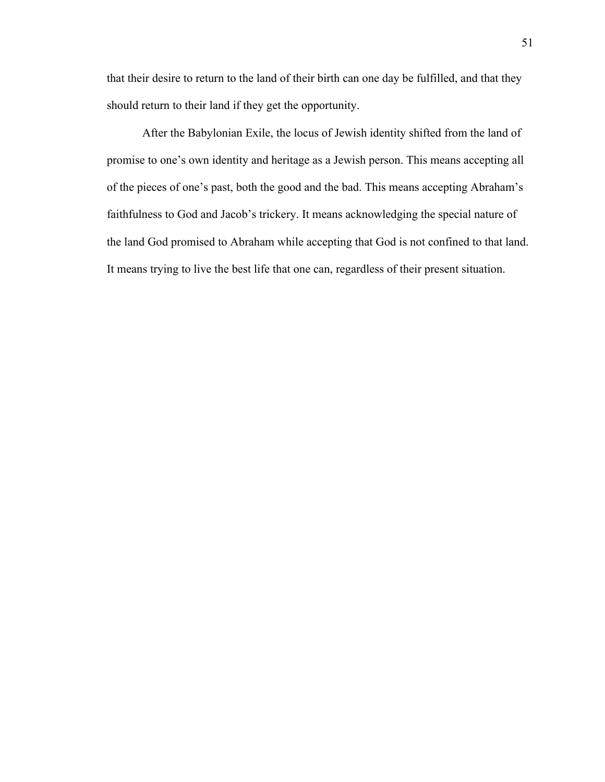that their desire to return to the land of their birth can one day be fulfilled, and that they should return to their land if they get the opportunity.

After the Babylonian Exile, the locus of Jewish identity shifted from the land of promise to one's own identity and heritage as a Jewish person. This means accepting all of the pieces of one's past, both the good and the bad. This means accepting Abraham's faithfulness to God and Jacob's trickery. It means acknowledging the special nature of the land God promised to Abraham while accepting that God is not confined to that land. It means trying to live the best life that one can, regardless of their present situation.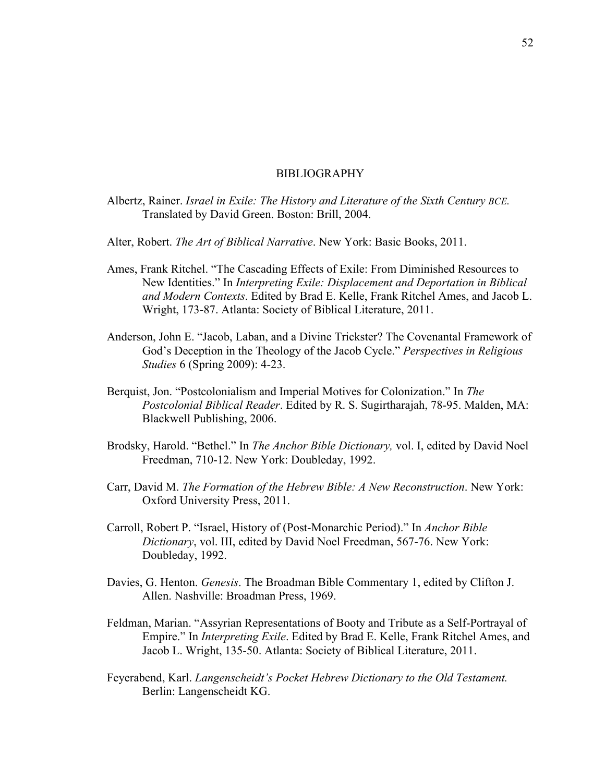#### BIBLIOGRAPHY

- Albertz, Rainer. *Israel in Exile: The History and Literature of the Sixth Century BCE.*  Translated by David Green. Boston: Brill, 2004.
- Alter, Robert. *The Art of Biblical Narrative*. New York: Basic Books, 2011.
- Ames, Frank Ritchel. "The Cascading Effects of Exile: From Diminished Resources to New Identities." In *Interpreting Exile: Displacement and Deportation in Biblical and Modern Contexts*. Edited by Brad E. Kelle, Frank Ritchel Ames, and Jacob L. Wright, 173-87. Atlanta: Society of Biblical Literature, 2011.
- Anderson, John E. "Jacob, Laban, and a Divine Trickster? The Covenantal Framework of God's Deception in the Theology of the Jacob Cycle." *Perspectives in Religious Studies* 6 (Spring 2009): 4-23.
- Berquist, Jon. "Postcolonialism and Imperial Motives for Colonization." In *The Postcolonial Biblical Reader*. Edited by R. S. Sugirtharajah, 78-95. Malden, MA: Blackwell Publishing, 2006.
- Brodsky, Harold. "Bethel." In *The Anchor Bible Dictionary,* vol. I, edited by David Noel Freedman, 710-12. New York: Doubleday, 1992.
- Carr, David M. *The Formation of the Hebrew Bible: A New Reconstruction*. New York: Oxford University Press, 2011.
- Carroll, Robert P. "Israel, History of (Post-Monarchic Period)." In *Anchor Bible Dictionary*, vol. III, edited by David Noel Freedman, 567-76. New York: Doubleday, 1992.
- Davies, G. Henton. *Genesis*. The Broadman Bible Commentary 1, edited by Clifton J. Allen. Nashville: Broadman Press, 1969.
- Feldman, Marian. "Assyrian Representations of Booty and Tribute as a Self-Portrayal of Empire." In *Interpreting Exile*. Edited by Brad E. Kelle, Frank Ritchel Ames, and Jacob L. Wright, 135-50. Atlanta: Society of Biblical Literature, 2011.
- Feyerabend, Karl. *Langenscheidt's Pocket Hebrew Dictionary to the Old Testament.* Berlin: Langenscheidt KG.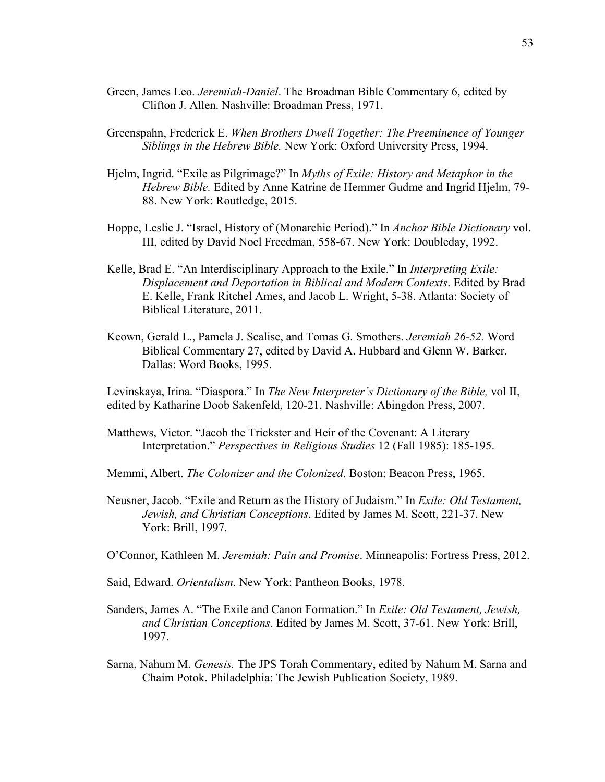- Green, James Leo. *Jeremiah-Daniel*. The Broadman Bible Commentary 6, edited by Clifton J. Allen. Nashville: Broadman Press, 1971.
- Greenspahn, Frederick E. *When Brothers Dwell Together: The Preeminence of Younger Siblings in the Hebrew Bible.* New York: Oxford University Press, 1994.
- Hjelm, Ingrid. "Exile as Pilgrimage?" In *Myths of Exile: History and Metaphor in the Hebrew Bible.* Edited by Anne Katrine de Hemmer Gudme and Ingrid Hjelm, 79- 88. New York: Routledge, 2015.
- Hoppe, Leslie J. "Israel, History of (Monarchic Period)." In *Anchor Bible Dictionary* vol. III, edited by David Noel Freedman, 558-67. New York: Doubleday, 1992.
- Kelle, Brad E. "An Interdisciplinary Approach to the Exile." In *Interpreting Exile: Displacement and Deportation in Biblical and Modern Contexts*. Edited by Brad E. Kelle, Frank Ritchel Ames, and Jacob L. Wright, 5-38. Atlanta: Society of Biblical Literature, 2011.
- Keown, Gerald L., Pamela J. Scalise, and Tomas G. Smothers. *Jeremiah 26-52.* Word Biblical Commentary 27, edited by David A. Hubbard and Glenn W. Barker. Dallas: Word Books, 1995.

Levinskaya, Irina. "Diaspora." In *The New Interpreter's Dictionary of the Bible,* vol II, edited by Katharine Doob Sakenfeld, 120-21. Nashville: Abingdon Press, 2007.

Matthews, Victor. "Jacob the Trickster and Heir of the Covenant: A Literary Interpretation." *Perspectives in Religious Studies* 12 (Fall 1985): 185-195.

Memmi, Albert. *The Colonizer and the Colonized*. Boston: Beacon Press, 1965.

- Neusner, Jacob. "Exile and Return as the History of Judaism." In *Exile: Old Testament, Jewish, and Christian Conceptions*. Edited by James M. Scott, 221-37. New York: Brill, 1997.
- O'Connor, Kathleen M. *Jeremiah: Pain and Promise*. Minneapolis: Fortress Press, 2012.

Said, Edward. *Orientalism*. New York: Pantheon Books, 1978.

- Sanders, James A. "The Exile and Canon Formation." In *Exile: Old Testament, Jewish, and Christian Conceptions*. Edited by James M. Scott, 37-61. New York: Brill, 1997.
- Sarna, Nahum M. *Genesis.* The JPS Torah Commentary, edited by Nahum M. Sarna and Chaim Potok. Philadelphia: The Jewish Publication Society, 1989.